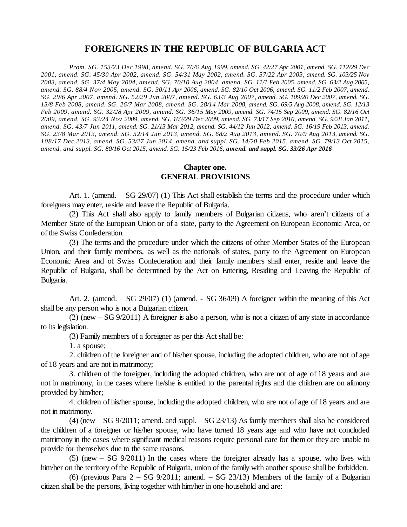# **FOREIGNERS IN THE REPUBLIC OF BULGARIA ACT**

Prom. SG. 153/23 Dec 1998, amend. SG. 70/6 Aug 1999, amend. SG. 42/27 Apr 2001, amend. SG. 112/29 Dec 2001, amend. SG. 45/30 Apr 2002, amend. SG. 54/31 May 2002, amend. SG. 37/22 Apr 2003, amend. SG. 103/25 Nov 2003, amend. SG. 37/4 May 2004, amend. SG. 70/10 Aug 2004, amend. SG. 11/1 Feb 2005, amend. SG. 63/2 Aug 2005, amend. SG. 88/4 Nov 2005, amend. SG. 30/11 Apr 2006, amend. SG. 82/10 Oct 2006, amend. SG. 11/2 Feb 2007, amend. SG. 29/6 Apr 2007, amend. SG. 52/29 Jun 2007, amend. SG. 63/3 Aug 2007, amend. SG. 109/20 Dec 2007, amend. SG. 13/8 Feb 2008, amend. SG. 26/7 Mar 2008, amend. SG. 28/14 Mar 2008, amend. SG. 69/5 Aug 2008, amend. SG. 12/13 Feb 2009, amend. SG. 32/28 Apr 2009, amend. SG. 36/15 May 2009, amend. SG. 74/15 Sep 2009, amend. SG. 82/16 Oct 2009, amend. SG. 93/24 Nov 2009, amend. SG. 103/29 Dec 2009, amend. SG. 73/17 Sep 2010, amend. SG. 9/28 Jan 2011, amend. SG. 43/7 Jun 2011, amend. SG. 21/13 Mar 2012, amend. SG. 44/12 Jun 2012, amend. SG. 16/19 Feb 2013, amend. SG. 23/8 Mar 2013, amend. SG. 52/14 Jun 2013, amend. SG. 68/2 Aug 2013, amend. SG. 70/9 Aug 2013, amend. SG. 108/17 Dec 2013, amend. SG. 53/27 Jun 2014, amend. and suppl. SG. 14/20 Feb 2015, amend. SG. 79/13 Oct 2015, amend. and suppl. SG. 80/16 Oct 2015, amend. SG. 15/23 Feb 2016, amend. and suppl. SG. 33/26 Apr 2016

#### **Chapter one. GENERAL PROVISIONS**

Art. 1. (amend. – SG 29/07) (1) This Act shall establish the terms and the procedure under which foreigners may enter, reside and leave the Republic of Bulgaria.

(2) This Act shall also apply to family members of Bulgarian citizens, who aren't citizens of a Member State of the European Union or of a state, party to the Agreement on European Economic Area, or of the Swiss Confederation.

(3) The terms and the procedure under which the citizens of other Member States of the European Union, and their family members, as well as the nationals of states, party to the Agreement on European Economic Area and of Swiss Confederation and their family members shall enter, reside and leave the Republic of Bulgaria, shall be determined by the Act on Entering, Residing and Leaving the Republic of Bulgaria.

Art. 2. (amend. –SG 29/07) (1) (amend. - SG 36/09) A foreigner within the meaning of this Act shall be any person who is not a Bulgarian citizen.

 $(2)$  (new – SG 9/2011) A foreigner is also a person, who is not a citizen of any state in accordance to its legislation.

(3) Family members of a foreigner as per this Act shall be:

1. a spouse;

2. children of the foreigner and of his/her spouse, including the adopted children, who are not of age of 18 years and are not in matrimony;

3. children of the foreigner, including the adopted children, who are not of age of 18 years and are not in matrimony, in the cases where he/she is entitled to the parental rights and the children are on alimony provided by him/her;

4. children of his/her spouse, including the adopted children, who are not of age of 18 years and are not in matrimony.

 $(4)$  (new  $-$  SG 9/2011; amend. and suppl.  $-$  SG 23/13) As family members shall also be considered the children of a foreigner or his/her spouse, who have turned 18 years age and who have not concluded matrimony in the cases where significant medical reasons require personal care for them or they are unable to provide for themselves due to the same reasons.

 $(5)$  (new  $-$  SG 9/2011) In the cases where the foreigner already has a spouse, who lives with him/her on the territory of the Republic of Bulgaria, union of the family with another spouse shall be forbidden.

(6) (previous Para  $2 - SG$  9/2011; amend.  $-SG$  23/13) Members of the family of a Bulgarian citizen shall be the persons, living together with him/her in one household and are: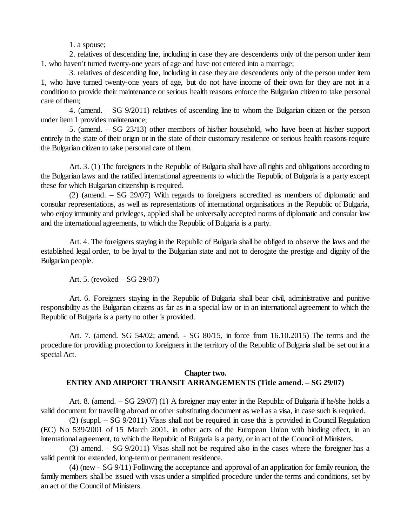1. a spouse;

2. relatives of descending line, including in case they are descendents only of the person under item 1, who haven't turned twenty-one years of age and have not entered into a marriage;

3. relatives of descending line, including in case they are descendents only of the person under item 1, who have turned twenty-one years of age, but do not have income of their own for they are not in a condition to provide their maintenance or serious health reasons enforce the Bulgarian citizen to take personal care of them;

4. (amend. –SG 9/2011) relatives of ascending line to whom the Bulgarian citizen or the person under item 1 provides maintenance;

5. (amend. –SG 23/13) other members of his/her household, who have been at his/her support entirely in the state of their origin or in the state of their customary residence or serious health reasons require the Bulgarian citizen to take personal care of them.

Art. 3. (1) The foreigners in the Republic of Bulgaria shall have allrights and obligations according to the Bulgarian laws and the ratified international agreements to which the Republic of Bulgaria is a party except these for which Bulgarian citizenship is required.

(2) (amend. –SG 29/07) With regards to foreigners accredited as members of diplomatic and consular representations, as well as representations of international organisations in the Republic of Bulgaria, who enjoy immunity and privileges, applied shall be universally accepted norms of diplomatic and consular law and the international agreements, to which the Republic of Bulgaria is a party.

Art. 4. The foreigners staying in the Republic of Bulgaria shall be obliged to observe the laws and the established legal order, to be loyal to the Bulgarian state and not to derogate the prestige and dignity of the Bulgarian people.

Art. 5. (revoked – SG 29/07)

Art. 6. Foreigners staying in the Republic of Bulgaria shall bear civil, administrative and punitive responsibility as the Bulgarian citizens as far as in a special law or in an international agreement to which the Republic of Bulgaria is a party no other is provided.

Art. 7. (amend. SG 54/02; amend. - SG 80/15, in force from 16.10.2015) The terms and the procedure for providing protection to foreigners in the territory of the Republic of Bulgaria shall be set out in a special Act.

### **Chapter two. ENTRY AND AIRPORT TRANSIT ARRANGEMENTS (Title amend. –SG 29/07)**

Art. 8. (amend. –SG 29/07) (1) A foreigner may enter in the Republic of Bulgaria if he/she holds a valid document for travelling abroad or other substituting document as well as a visa, in case such is required.

 $(2)$  (suppl. – SG 9/2011) Visas shall not be required in case this is provided in Council Regulation (EC) No 539/2001 of 15 March 2001, in other acts of the European Union with binding effect, in an international agreement, to which the Republic of Bulgaria is a party, or in act of the Council of Ministers.

 $(3)$  amend. – SG 9/2011) Visas shall not be required also in the cases where the foreigner has a valid permit for extended, long-term or permanent residence.

(4) (new - SG 9/11) Following the acceptance and approval of an application for family reunion, the family members shall be issued with visas under a simplified procedure under the terms and conditions, set by an act of the Council of Ministers.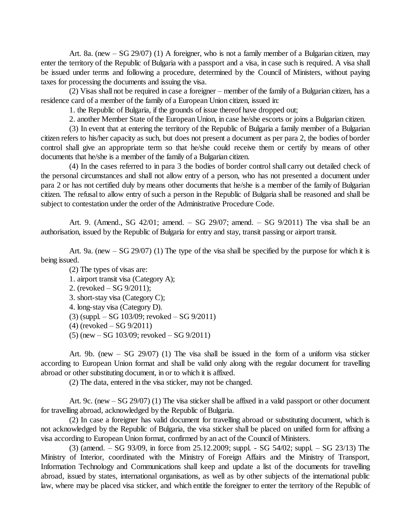Art. 8a. (new –SG 29/07) (1) A foreigner, who is not a family member of a Bulgarian citizen, may enter the territory of the Republic of Bulgaria with a passport and a visa, in case such is required. A visa shall be issued under terms and following a procedure, determined by the Council of Ministers, without paying taxes for processing the documents and issuing the visa.

(2) Visas shall not be required in case a foreigner – member of the family of a Bulgarian citizen, has a residence card of a member of the family of a European Union citizen, issued in:

1. the Republic of Bulgaria, if the grounds of issue thereof have dropped out;

2. another Member State of the European Union, in case he/she escorts or joins a Bulgarian citizen.

(3) In event that at entering the territory of the Republic of Bulgaria a family member of a Bulgarian citizen refers to his/her capacity as such, but does not present a document as per para 2, the bodies of border control shall give an appropriate term so that he/she could receive them or certify by means of other documents that he/she is a member of the family of a Bulgarian citizen.

(4) In the cases referred to in para 3 the bodies of border control shall carry out detailed check of the personal circumstances and shall not allow entry of a person, who has not presented a document under para 2 or has not certified duly by means other documents that he/she is a member of the family of Bulgarian citizen. The refusal to allow entry of such a person in the Republic of Bulgaria shall be reasoned and shall be subject to contestation under the order of the Administrative Procedure Code.

Art. 9. (Amend., SG  $42/01$ ; amend. – SG  $29/07$ ; amend. – SG  $9/2011$ ) The visa shall be an authorisation, issued by the Republic of Bulgaria for entry and stay, transit passing or airport transit.

Art. 9a. (new  $-$  SG 29/07) (1) The type of the visa shall be specified by the purpose for which it is being issued.

(2) The types of visas are:

1. airport transit visa (Category A);

- 2. (revoked  $-$  SG 9/2011);
- 3. short-stay visa (Category C);
- 4. long-stay visa (Category D).
- $(3)$  (suppl. SG 103/09; revoked SG 9/2011)
- $(4)$  (revoked  $-$  SG 9/2011)
- $(5)$  (new  $-$  SG 103/09; revoked  $-$  SG 9/2011)

Art. 9b. (new  $-$  SG 29/07) (1) The visa shall be issued in the form of a uniform visa sticker according to European Union format and shall be valid only along with the regular document for travelling abroad or other substituting document, in or to which it is affixed.

(2) The data, entered in the visa sticker, may not be changed.

Art. 9c. (new – SG 29/07) (1) The visa sticker shall be affixed in a valid passport or other document for travelling abroad, acknowledged by the Republic of Bulgaria.

(2) In case a foreigner has valid document for travelling abroad or substituting document, which is not acknowledged by the Republic of Bulgaria, the visa sticker shall be placed on unified form for affixing a visa according to European Union format, confirmed by an act of the Council of Ministers.

(3) (amend. –SG 93/09, in force from 25.12.2009; suppl. - SG 54/02; suppl. –SG 23/13) The Ministry of Interior, coordinated with the Ministry of Foreign Affairs and the Ministry of Transport, Information Technology and Communications shall keep and update a list of the documents for travelling abroad, issued by states, international organisations, as well as by other subjects of the international public law, where may be placed visa sticker, and which entitle the foreigner to enter the territory of the Republic of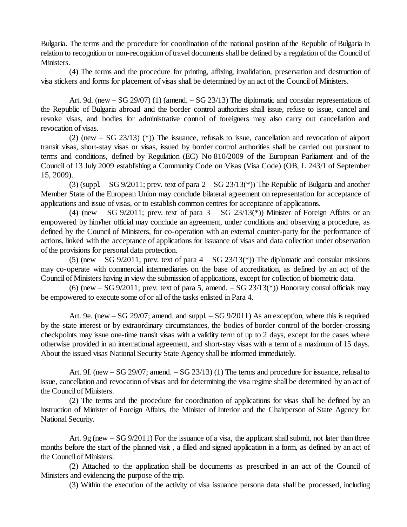Bulgaria. The terms and the procedure for coordination of the national position of the Republic of Bulgaria in relation to recognition or non-recognition of travel documents shall be defined by a regulation of the Council of Ministers.

(4) The terms and the procedure for printing, affixing, invalidation, preservation and destruction of visa stickers and forms for placement of visas shall be determined by an act of the Council of Ministers.

Art. 9d. (new  $-$  SG 29/07) (1) (amend.  $-$  SG 23/13) The diplomatic and consular representations of the Republic of Bulgaria abroad and the border control authorities shall issue, refuse to issue, cancel and revoke visas, and bodies for administrative control of foreigners may also carry out cancellation and revocation of visas.

(2) (new  $-$  SG 23/13) (\*)) The issuance, refusals to issue, cancellation and revocation of airport transit visas, short-stay visas or visas, issued by border control authorities shall be carried out pursuant to terms and conditions, defined by Regulation (EC) No 810/2009 of the European Parliament and of the Council of 13 July 2009 establishing a Community Code on Visas (Visa Code) (ОВ, L 243/1 of September 15, 2009).

(3) (suppl.  $-$  SG 9/2011; prev. text of para  $2 -$  SG 23/13(\*)) The Republic of Bulgaria and another Member State of the European Union may conclude bilateral agreement on representation for acceptance of applications and issue of visas, or to establish common centres for acceptance of applications.

(4) (new – SG 9/2011; prev. text of para  $3 - SG$  23/13(\*)) Minister of Foreign Affairs or an empowered by him/her official may conclude an agreement, under conditions and observing a procedure, as defined by the Council of Ministers, for co-operation with an external counter-party for the performance of actions, linked with the acceptance of applications for issuance of visas and data collection under observation of the provisions for personal data protection.

(5) (new – SG 9/2011; prev. text of para  $4 - SG$  23/13(\*)) The diplomatic and consular missions may co-operate with commercial intermediaries on the base of accreditation, as defined by an act of the Council of Ministers having in view the submission of applications, except for collection of biometric data.

(6) (new  $-$  SG 9/2011; prev. text of para 5, amend.  $-$  SG 23/13(\*)) Honorary consul officials may be empowered to execute some of or all of the tasks enlisted in Para 4.

Art. 9e. (new  $-$  SG 29/07; amend. and suppl.  $-$  SG 9/2011) As an exception, where this is required by the state interest or by extraordinary circumstances, the bodies of border control of the border-crossing checkpoints may issue one-time transit visas with a validity term of up to 2 days, except for the cases where otherwise provided in an international agreement, and short-stay visas with a term of a maximum of 15 days. About the issued visas National Security State Agency shall be informed immediately.

Art. 9f. (new  $-$  SG 29/07; amend.  $-$  SG 23/13) (1) The terms and procedure for issuance, refusal to issue, cancellation and revocation of visas and for determining the visa regime shall be determined by an act of the Council of Ministers.

(2) The terms and the procedure for coordination of applications for visas shall be defined by an instruction of Minister of Foreign Affairs, the Minister of Interior and the Chairperson of State Agency for National Security.

Art. 9g (new  $-$  SG 9/2011) For the issuance of a visa, the applicant shall submit, not later than three months before the start of the planned visit, a filled and signed application in a form, as defined by an act of the Council of Ministers.

(2) Attached to the application shall be documents as prescribed in an act of the Council of Ministers and evidencing the purpose of the trip.

(3) Within the execution of the activity of visa issuance persona data shall be processed, including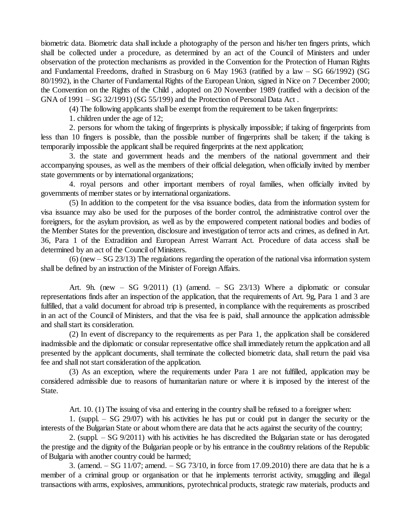biometric data. Biometric data shall include a photography of the person and his/her ten fingers prints, which shall be collected under a procedure, as determined by an act of the Council of Ministers and under observation of the protection mechanisms as provided in the Convention for the Protection of Human Rights and Fundamental Freedoms, drafted in Strasburg on 6 May 1963 (ratified by a law – SG 66/1992) (SG 80/1992), in the Charter of Fundamental Rights of the European Union, signed in Nice on 7 December 2000; the Convention on the Rights of the Child , adopted on 20 November 1989 (ratified with a decision of the GNA of  $1991 - SG$   $32/1991$ ) (SG  $55/199$ ) and the Protection of Personal Data Act.

(4) The following applicants shall be exempt from the requirement to be taken fingerprints:

1. children under the age of 12;

2. persons for whom the taking of fingerprints is physically impossible; if taking of fingerprints from less than 10 fingers is possible, than the possible number of fingerprints shall be taken; if the taking is temporarily impossible the applicant shall be required fingerprints at the next application;

3. the state and government heads and the members of the national government and their accompanying spouses, as well as the members of their official delegation, when officially invited by member state governments or by international organizations;

4. royal persons and other important members of royal families, when officially invited by governments of member states or by international organizations.

(5) In addition to the competent for the visa issuance bodies, data from the information system for visa issuance may also be used for the purposes of the border control, the administrative control over the foreigners, for the asylum provision, as well as by the empowered competent national bodies and bodies of the Member States for the prevention, disclosure and investigation of terror acts and crimes, as defined in Art. 36, Para 1 of the Extradition and European Arrest Warrant Act. Procedure of data access shall be determined by an act of the Council of Ministers.

 $(6)$  (new  $-$  SG 23/13) The regulations regarding the operation of the national visa information system shall be defined by an instruction of the Minister of Foreign Affairs.

Art. 9h. (new  $-$  SG 9/2011) (1) (amend.  $-$  SG 23/13) Where a diplomatic or consular representations finds after an inspection of the application, that the requirements of Art. 9g, Para 1 and 3 are fulfilled, that a valid document for abroad trip is presented, in compliance with the requirements as proscribed in an act of the Council of Ministers, and that the visa fee is paid, shall announce the application admissible and shallstart its consideration.

(2) In event of discrepancy to the requirements as per Para 1, the application shall be considered inadmissible and the diplomatic or consular representative office shall immediately return the application and all presented by the applicant documents, shall terminate the collected biometric data, shall return the paid visa fee and shall not start consideration of the application.

(3) As an exception, where the requirements under Para 1 are not fulfilled, application may be considered admissible due to reasons of humanitarian nature or where it is imposed by the interest of the State.

Art. 10. (1) The issuing of visa and entering in the country shall be refused to a foreigner when:

1. (suppl.  $-$  SG 29/07) with his activities he has put or could put in danger the security or the interests of the Bulgarian State or about whom there are data that he acts against the security of the country;

2. (suppl.  $-SG$  9/2011) with his activities he has discredited the Bulgarian state or has derogated the prestige and the dignity of the Bulgarian people or by his entrance in the cou8ntry relations of the Republic of Bulgaria with another country could be harmed;

3. (amend.  $-$  SG 11/07; amend.  $-$  SG 73/10, in force from 17.09.2010) there are data that he is a member of a criminal group or organisation or that he implements terrorist activity, smuggling and illegal transactions with arms, explosives, ammunitions, pyrotechnical products, strategic raw materials, products and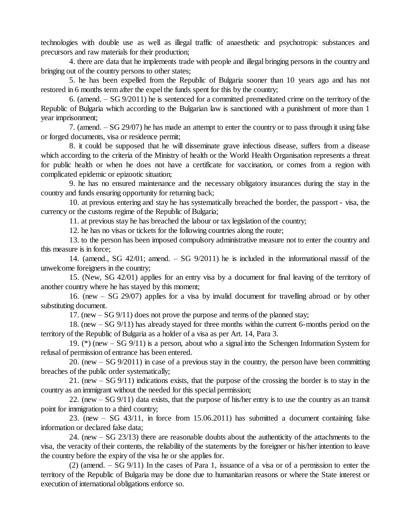technologies with double use as well as illegal traffic of anaesthetic and psychotropic substances and precursors and raw materials for their production;

4. there are data that he implements trade with people and illegal bringing persons in the country and bringing out of the country persons to other states;

5. he has been expelled from the Republic of Bulgaria sooner than 10 years ago and has not restored in 6 months term after the expel the funds spent for this by the country;

6. (amend.  $-$  SG 9/2011) he is sentenced for a committed premeditated crime on the territory of the Republic of Bulgaria which according to the Bulgarian law is sanctioned with a punishment of more than 1 year imprisonment;

7. (amend. –SG 29/07) he has made an attempt to enter the country or to pass through it using false or forged documents, visa or residence permit;

8. it could be supposed that he will disseminate grave infectious disease, suffers from a disease which according to the criteria of the Ministry of health or the World Health Organisation represents a threat for public health or when he does not have a certificate for vaccination, or comes from a region with complicated epidemic or epizootic situation;

9. he has no ensured maintenance and the necessary obligatory insurances during the stay in the country and funds ensuring opportunity for returning back;

10. at previous entering and stay he has systematically breached the border, the passport - visa, the currency or the customs regime of the Republic of Bulgaria;

11. at previous stay he has breached the labour or tax legislation of the country;

12. he has no visas or tickets for the following countries along the route;

13. to the person has been imposed compulsory administrative measure not to enter the country and this measure is in force;

14. (amend., SG  $42/01$ ; amend. – SG  $9/2011$ ) he is included in the informational massif of the unwelcome foreigners in the country;

15. (New, SG 42/01) applies for an entry visa by a document for final leaving of the territory of another country where he has stayed by this moment;

16. (new – SG 29/07) applies for a visa by invalid document for travelling abroad or by other substituting document.

17. (new  $-$  SG 9/11) does not prove the purpose and terms of the planned stay;

18. (new –SG 9/11) has already stayed for three months within the current 6-months period on the territory of the Republic of Bulgaria as a holder of a visa as per Art. 14, Para 3.

19. (\*) (new –SG 9/11) is a person, about who a signal into the Schengen Information System for refusal of permission of entrance has been entered.

20. (new  $-$  SG 9/2011) in case of a previous stay in the country, the person have been committing breaches of the public order systematically;

21. (new –SG 9/11) indications exists, that the purpose of the crossing the border is to stay in the country as an immigrant without the needed for this special permission;

22. (new  $-$  SG 9/11) data exists, that the purpose of his/her entry is to use the country as an transit point for immigration to a third country;

23. (new  $-$  SG 43/11, in force from 15.06.2011) has submitted a document containing false information or declared false data;

24. (new –SG 23/13) there are reasonable doubts about the authenticity of the attachments to the visa, the veracity of their contents, the reliability of the statements by the foreigner or his/her intention to leave the country before the expiry of the visa he or she applies for.

(2) (amend.  $-SG(9/11)$  In the cases of Para 1, issuance of a visa or of a permission to enter the territory of the Republic of Bulgaria may be done due to humanitarian reasons or where the State interest or execution of international obligations enforce so.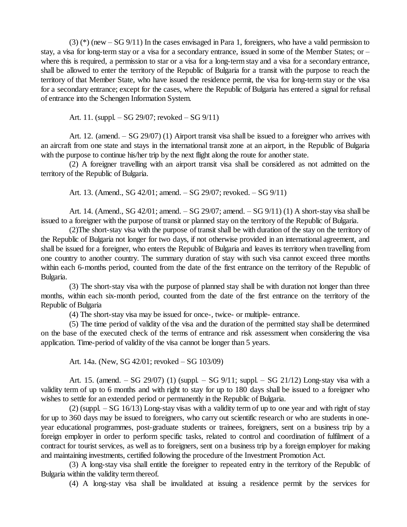$(3)$  (\*) (new – SG 9/11) In the cases envisaged in Para 1, foreigners, who have a valid permission to stay, a visa for long-term stay or a visa for a secondary entrance, issued in some of the Member States; or – where this is required, a permission to star or a visa for a long-term stay and a visa for a secondary entrance, shall be allowed to enter the territory of the Republic of Bulgaria for a transit with the purpose to reach the territory of that Member State, who have issued the residence permit, the visa for long-term stay or the visa for a secondary entrance; except for the cases, where the Republic of Bulgaria has entered a signal for refusal of entrance into the Schengen Information System.

Art. 11. (suppl.  $-$  SG 29/07; revoked  $-$  SG 9/11)

Art. 12. (amend.  $-$  SG 29/07) (1) Airport transit visa shall be issued to a foreigner who arrives with an aircraft from one state and stays in the international transit zone at an airport, in the Republic of Bulgaria with the purpose to continue his/her trip by the next flight along the route for another state.

(2) A foreigner travelling with an airport transit visa shall be considered as not admitted on the territory of the Republic of Bulgaria.

Art. 13. (Amend., SG 42/01; amend. – SG 29/07; revoked. – SG 9/11)

Art. 14. (Amend., SG  $42/01$ ; amend.  $-$  SG  $29/07$ ; amend.  $-$  SG  $9/11$ ) (1) A short-stay visa shall be issued to a foreigner with the purpose of transit or planned stay on the territory of the Republic of Bulgaria.

(2)The short-stay visa with the purpose of transit shall be with duration of the stay on the territory of the Republic of Bulgaria not longer for two days, if not otherwise provided in an international agreement, and shall be issued for a foreigner, who enters the Republic of Bulgaria and leaves its territory when travelling from one country to another country. The summary duration of stay with such visa cannot exceed three months within each 6-months period, counted from the date of the first entrance on the territory of the Republic of Bulgaria.

(3) The short-stay visa with the purpose of planned stay shall be with duration not longer than three months, within each six-month period, counted from the date of the first entrance on the territory of the Republic of Bulgaria

(4) The short-stay visa may be issued for once-, twice- or multiple- entrance.

(5) The time period of validity of the visa and the duration of the permitted stay shall be determined on the base of the executed check of the terms of entrance and risk assessment when considering the visa application. Time-period of validity of the visa cannot be longer than 5 years.

Art. 14a. (New, SG  $42/01$ ; revoked  $-$  SG  $103/09$ )

Art. 15. (amend.  $-$  SG 29/07) (1) (suppl.  $-$  SG 9/11; suppl.  $-$  SG 21/12) Long-stay visa with a validity term of up to 6 months and with right to stay for up to 180 days shall be issued to a foreigner who wishes to settle for an extended period or permanently in the Republic of Bulgaria.

 $(2)$  (suppl.  $-SG$  16/13) Long-stay visas with a validity term of up to one year and with right of stay for up to 360 days may be issued to foreigners, who carry out scientific research or who are students in oneyear educational programmes, post-graduate students or trainees, foreigners, sent on a business trip by a foreign employer in order to perform specific tasks, related to control and coordination of fulfilment of a contract for tourist services, as well as to foreigners, sent on a business trip by a foreign employer for making and maintaining investments, certified following the procedure of the Investment Promotion Act.

(3) A long-stay visa shall entitle the foreigner to repeated entry in the territory of the Republic of Bulgaria within the validity term thereof.

(4) A long-stay visa shall be invalidated at issuing a residence permit by the services for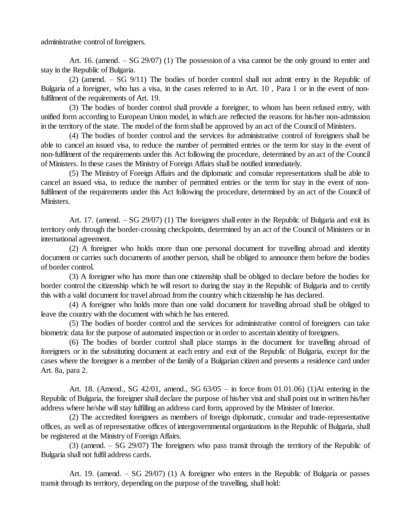administrative control of foreigners.

Art. 16. (amend. – SG 29/07) (1) The possession of a visa cannot be the only ground to enter and stay in the Republic of Bulgaria.

(2) (amend.  $-$  SG 9/11) The bodies of border control shall not admit entry in the Republic of Bulgaria of a foreigner, who has a visa, in the cases referred to in Art. 10 , Para 1 or in the event of nonfulfilment of the requirements of Art. 19.

(3) The bodies of border control shall provide a foreigner, to whom has been refused entry, with unified form according to European Union model, in which are reflected the reasons for his/her non-admission in the territory of the state. The model of the form shall be approved by an act of the Council of Ministers.

(4) The bodies of border control and the services for administrative control of foreigners shall be able to cancel an issued visa, to reduce the number of permitted entries or the term for stay in the event of non-fulfilment of the requirements under this Act following the procedure, determined by an act of the Council of Ministers. In these cases the Ministry of Foreign Affairs shall be notified immediately.

(5) The Ministry of Foreign Affairs and the diplomatic and consular representations shall be able to cancel an issued visa, to reduce the number of permitted entries or the term for stay in the event of nonfulfilment of the requirements under this Act following the procedure, determined by an act of the Council of Ministers.

Art. 17. (amend.  $-SG$  29/07) (1) The foreigners shall enter in the Republic of Bulgaria and exit its territory only through the border-crossing checkpoints, determined by an act of the Council of Ministers or in international agreement.

(2) A foreigner who holds more than one personal document for travelling abroad and identity document or carries such documents of another person, shall be obliged to announce them before the bodies of border control.

(3) A foreigner who has more than one citizenship shall be obliged to declare before the bodies for border control the citizenship which he will resort to during the stay in the Republic of Bulgaria and to certify this with a valid document for travel abroad from the country which citizenship he has declared.

(4) A foreigner who holds more than one valid document for travelling abroad shall be obliged to leave the country with the document with which he has entered.

(5) The bodies of border control and the services for administrative control of foreigners can take biometric data for the purpose of automated inspection or in order to ascertain identity of foreigners.

(6) The bodies of border control shall place stamps in the document for travelling abroad of foreigners or in the substituting document at each entry and exit of the Republic of Bulgaria, except for the cases where the foreigner is a member of the family of a Bulgarian citizen and presents a residence card under Art. 8a, para 2.

Art. 18. (Amend., SG 42/01, amend., SG  $63/05 -$  in force from 01.01.06) (1)At entering in the Republic of Bulgaria, the foreigner shall declare the purpose of his/her visit and shall point out in written his/her address where he/she will stay fulfilling an address card form, approved by the Minister of Interior.

(2) The accredited foreigners as members of foreign diplomatic, consular and trade-representative offices, as well as of representative offices of intergovernmental organizations in the Republic of Bulgaria, shall be registered at the Ministry of Foreign Affairs.

(3) (amend. –SG 29/07) The foreigners who pass transit through the territory of the Republic of Bulgaria shall not fulfil address cards.

Art. 19. (amend.  $-$  SG 29/07) (1) A foreigner who enters in the Republic of Bulgaria or passes transit through its territory, depending on the purpose of the travelling, shall hold: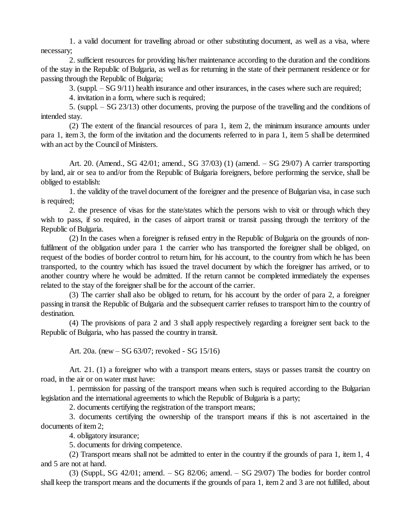1. a valid document for travelling abroad or other substituting document, as well as a visa, where necessary;

2. sufficient resources for providing his/her maintenance according to the duration and the conditions of the stay in the Republic of Bulgaria, as well as for returning in the state of their permanent residence or for passing through the Republic of Bulgaria;

3. (suppl. –SG 9/11) health insurance and other insurances, in the cases where such are required;

4. invitation in a form, where such is required;

5. (suppl. –SG 23/13) other documents, proving the purpose of the travelling and the conditions of intended stay.

(2) The extent of the financial resources of para 1, item 2, the minimum insurance amounts under para 1, item 3, the form of the invitation and the documents referred to in para 1, item 5 shall be determined with an act by the Council of Ministers.

Art. 20. (Amend., SG 42/01; amend., SG 37/03) (1) (amend. – SG 29/07) A carrier transporting by land, air or sea to and/or from the Republic of Bulgaria foreigners, before performing the service, shall be obliged to establish:

1. the validity of the travel document of the foreigner and the presence of Bulgarian visa, in case such is required;

2. the presence of visas for the state/states which the persons wish to visit or through which they wish to pass, if so required, in the cases of airport transit or transit passing through the territory of the Republic of Bulgaria.

(2) In the cases when a foreigner is refused entry in the Republic of Bulgaria on the grounds of nonfulfilment of the obligation under para 1 the carrier who has transported the foreigner shall be obliged, on request of the bodies of border control to return him, for his account, to the country from which he has been transported, to the country which has issued the travel document by which the foreigner has arrived, or to another country where he would be admitted. If the return cannot be completed immediately the expenses related to the stay of the foreigner shall be for the account of the carrier.

(3) The carrier shall also be obliged to return, for his account by the order of para 2, a foreigner passing in transit the Republic of Bulgaria and the subsequent carrier refuses to transport him to the country of destination.

(4) The provisions of para 2 and 3 shall apply respectively regarding a foreigner sent back to the Republic of Bulgaria, who has passed the country in transit.

Art. 20a. (new –SG 63/07; revoked - SG 15/16)

Art. 21. (1) a foreigner who with a transport means enters, stays or passes transit the country on road, in the air or on water must have:

1. permission for passing of the transport means when such is required according to the Bulgarian legislation and the international agreements to which the Republic of Bulgaria is a party;

2. documents certifying the registration of the transport means;

3. documents certifying the ownership of the transport means if this is not ascertained in the documents of item 2;

4. obligatory insurance;

5. documents for driving competence.

(2) Transport means shall not be admitted to enter in the country if the grounds of para 1, item 1, 4 and 5 are not at hand.

 $(3)$  (Suppl., SG 42/01; amend.  $-$  SG 82/06; amend.  $-$  SG 29/07) The bodies for border control shall keep the transport means and the documents if the grounds of para 1, item 2 and 3 are not fulfilled, about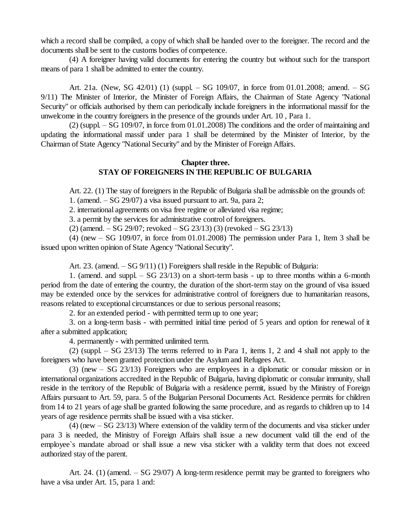which a record shall be compiled, a copy of which shall be handed over to the foreigner. The record and the documents shall be sent to the customs bodies of competence.

(4) A foreigner having valid documents for entering the country but without such for the transport means of para 1 shall be admitted to enter the country.

Art. 21a. (New, SG 42/01) (1) (suppl. – SG 109/07, in force from 01.01.2008; amend. – SG 9/11) The Minister of Interior, the Minister of Foreign Affairs, the Chairman of State Agency "National Security" or officials authorised by them can periodically include foreigners in the informational massif for the unwelcome in the country foreigners in the presence of the grounds under Art. 10 , Para 1.

 $(2)$  (suppl. – SG 109/07, in force from 01.01.2008) The conditions and the order of maintaining and updating the informational massif under para 1 shall be determined by the Minister of Interior, by the Chairman of State Agency "National Security" and by the Minister of Foreign Affairs.

#### **Chapter three. STAY OF FOREIGNERS IN THE REPUBLIC OF BULGARIA**

Art. 22. (1) The stay of foreigners in the Republic of Bulgaria shall be admissible on the grounds of:

1. (amend.  $-$  SG 29/07) a visa issued pursuant to art. 9a, para 2;

2. international agreements on visa free regime or alleviated visa regime;

3. a permit by the services for administrative control of foreigners.

 $(2)$  (amend.  $-$  SG 29/07; revoked  $-$  SG 23/13) (3) (revoked  $-$  SG 23/13)

(4) (new  $-$  SG 109/07, in force from 01.01.2008) The permission under Para 1, Item 3 shall be issued upon written opinion of State Agency "National Security".

Art. 23. (amend.  $-$  SG 9/11) (1) Foreigners shall reside in the Republic of Bulgaria:

1. (amend. and suppl.  $-$  SG 23/13) on a short-term basis - up to three months within a 6-month period from the date of entering the country, the duration of the short-term stay on the ground of visa issued may be extended once by the services for administrative control of foreigners due to humanitarian reasons, reasons related to exceptional circumstances or due to serious personal reasons;

2. for an extended period - with permitted term up to one year;

3. on a long-term basis - with permitted initial time period of 5 years and option for renewal of it after a submitted application;

4. permanently - with permitted unlimited term.

 $(2)$  (suppl. – SG 23/13) The terms referred to in Para 1, items 1, 2 and 4 shall not apply to the foreigners who have been granted protection under the Asylum and Refugees Act.

(3) (new  $-$  SG 23/13) Foreigners who are employees in a diplomatic or consular mission or in international organizations accredited in the Republic of Bulgaria, having diplomatic or consular immunity, shall reside in the territory of the Republic of Bulgaria with a residence permit, issued by the Ministry of Foreign Affairs pursuant to Art. 59, para. 5 of the Bulgarian Personal Documents Act. Residence permits for children from 14 to 21 years of age shall be granted following the same procedure, and as regards to children up to 14 years of age residence permits shall be issued with a visa sticker.

(4) (new –SG 23/13) Where extension of the validity term of the documents and visa sticker under para 3 is needed, the Ministry of Foreign Affairs shall issue a new document valid till the end of the employee`s mandate abroad or shall issue a new visa sticker with a validity term that does not exceed authorized stay of the parent.

Art. 24. (1) (amend.  $-$  SG 29/07) A long-term residence permit may be granted to foreigners who have a visa under Art. 15, para 1 and: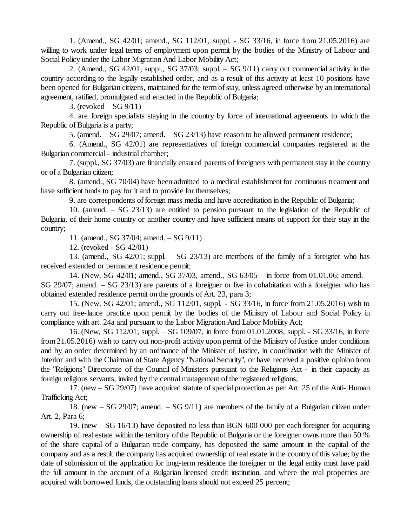1. (Amend., SG 42/01; amend., SG 112/01, suppl. - SG 33/16, in force from 21.05.2016) are willing to work under legal terms of employment upon permit by the bodies of the Ministry of Labour and Social Policy under the Labor Migration And Labor Mobility Act;

2. (Amend., SG  $42/01$ ; suppl., SG  $37/03$ ; suppl. – SG  $9/11$ ) carry out commercial activity in the country according to the legally established order, and as a result of this activity at least 10 positions have been opened for Bulgarian citizens, maintained for the term of stay, unless agreed otherwise by an international agreement, ratified, promulgated and enacted in the Republic of Bulgaria;

3. (revoked  $-$  SG 9/11)

4. are foreign specialists staying in the country by force of international agreements to which the Republic of Bulgaria is a party;

5. (amend.  $-$  SG 29/07; amend.  $-$  SG 23/13) have reason to be allowed permanent residence;

6. (Amend., SG 42/01) are representatives of foreign commercial companies registered at the Bulgarian commercial- industrial chamber;

7. (suppl., SG 37/03) are financially ensured parents of foreigners with permanent stay in the country or of a Bulgarian citizen;

8. (amend., SG 70/04) have been admitted to a medical establishment for continuous treatment and have sufficient funds to pay for it and to provide for themselves;

9. are correspondents of foreign mass media and have accreditation in the Republic of Bulgaria;

10. (amend.  $-$  SG 23/13) are entitled to pension pursuant to the legislation of the Republic of Bulgaria, of their home country or another country and have sufficient means of support for their stay in the country;

11. (amend., SG 37/04; amend. –SG 9/11)

12. (revoked - SG 42/01)

13. (amend., SG  $42/01$ ; suppl.  $-$  SG  $23/13$ ) are members of the family of a foreigner who has received extended or permanent residence permit;

14. (New, SG 42/01; amend., SG 37/03, amend., SG 63/05 – in force from 01.01.06; amend. – SG 29/07; amend. – SG 23/13) are parents of a foreigner or live in cohabitation with a foreigner who has obtained extended residence permit on the grounds of Art. 23, para 3;

15. (New, SG 42/01; amend., SG 112/01, suppl. - SG 33/16, in force from 21.05.2016) wish to carry out free-lance practice upon permit by the bodies of the Ministry of Labour and Social Policy in compliance with art. 24a and pursuant to the Labor Migration And Labor Mobility Act;

16. (New, SG 112/01; suppl. – SG 109/07, in force from 01.01.2008, suppl. - SG 33/16, in force from 21.05.2016) wish to carry out non-profit activity upon permit of the Ministry of Justice under conditions and by an order determined by an ordinance of the Minister of Justice, in coordination with the Minister of Interior and with the Chairman of State Agency "National Security", or have received a positive opinion from the "Religions" Directorate of the Council of Ministers pursuant to the Religions Act - in their capacity as foreign religious servants, invited by the central management of the registered religions;

17. (new  $-$  SG 29/07) have acquired statute of special protection as per Art. 25 of the Anti- Human Trafficking Act;

18. (new –SG 29/07; amend. –SG 9/11) are members of the family of a Bulgarian citizen under Art. 2, Para 6;

19. (new –SG 16/13) have deposited no less than BGN 600 000 per each foreigner for acquiring ownership of real estate within the territory of the Republic of Bulgaria or the foreigner owns more than 50 % of the share capital of a Bulgarian trade company, has deposited the same amount in the capital of the company and as a result the company has acquired ownership of real estate in the country of this value; by the date of submission of the application for long-term residence the foreigner or the legal entity must have paid the full amount in the account of a Bulgarian licensed credit institution, and where the real properties are acquired with borrowed funds, the outstanding loans should not exceed 25 percent;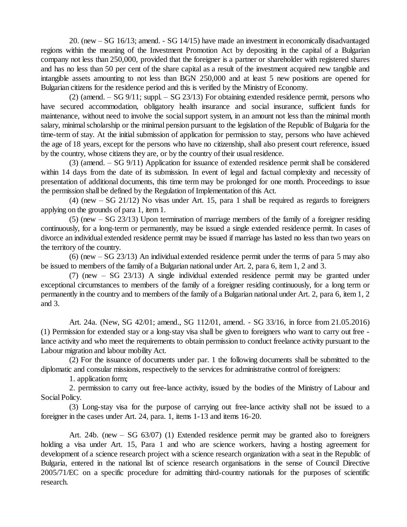20. (new –SG 16/13; amend. - SG 14/15) have made an investment in economically disadvantaged regions within the meaning of the Investment Promotion Act by depositing in the capital of a Bulgarian company not less than 250,000, provided that the foreigner is a partner or shareholder with registered shares and has no less than 50 per cent of the share capital as a result of the investment acquired new tangible and intangible assets amounting to not less than BGN 250,000 and at least 5 new positions are opened for Bulgarian citizens for the residence period and this is verified by the Ministry of Economy.

(2) (amend. – SG 9/11; suppl. – SG 23/13) For obtaining extended residence permit, persons who have secured accommodation, obligatory health insurance and social insurance, sufficient funds for maintenance, without need to involve the social support system, in an amount not less than the minimal month salary, minimal scholarship or the minimal pension pursuant to the legislation of the Republic of Bulgaria for the time-term of stay. At the initial submission of application for permission to stay, persons who have achieved the age of 18 years, except for the persons who have no citizenship, shall also present court reference, issued by the country, whose citizens they are, or by the country of their usual residence.

(3) (amend.  $-SG(9/11)$ ) Application for issuance of extended residence permit shall be considered within 14 days from the date of its submission. In event of legal and factual complexity and necessity of presentation of additional documents, this time term may be prolonged for one month. Proceedings to issue the permission shall be defined by the Regulation of Implementation of this Act.

(4) (new  $-$  SG 21/12) No visas under Art. 15, para 1 shall be required as regards to foreigners applying on the grounds of para 1, item 1.

 $(5)$  (new  $-$  SG 23/13) Upon termination of marriage members of the family of a foreigner residing continuously, for a long-term or permanently, may be issued a single extended residence permit. In cases of divorce an individual extended residence permit may be issued if marriage has lasted no less than two years on the territory of the country.

 $(6)$  (new  $-$  SG 23/13) An individual extended residence permit under the terms of para 5 may also be issued to members of the family of a Bulgarian national under Art. 2, para 6, item 1, 2 and 3.

(7) (new –SG 23/13) A single individual extended residence permit may be granted under exceptional circumstances to members of the family of a foreigner residing continuously, for a long term or permanently in the country and to members of the family of a Bulgarian national under Art. 2, para 6, item 1, 2 and 3.

Art. 24a. (New, SG 42/01; amend., SG 112/01, amend. - SG 33/16, in force from 21.05.2016) (1) Permission for extended stay or a long-stay visa shall be given to foreigners who want to carry out free lance activity and who meet the requirements to obtain permission to conduct freelance activity pursuant to the Labour migration and labour mobility Act.

(2) For the issuance of documents under par. 1 the following documents shall be submitted to the diplomatic and consular missions, respectively to the services for administrative control of foreigners:

1. application form;

2. permission to carry out free-lance activity, issued by the bodies of the Ministry of Labour and Social Policy.

(3) Long-stay visa for the purpose of carrying out free-lance activity shall not be issued to a foreigner in the cases under Art. 24, para. 1, items 1-13 and items 16-20.

Art. 24b. (new  $-$  SG 63/07) (1) Extended residence permit may be granted also to foreigners holding a visa under Art. 15, Para 1 and who are science workers, having a hosting agreement for development of a science research project with a science research organization with a seat in the Republic of Bulgaria, entered in the national list of science research organisations in the sense of Council Directive 2005/71/EC on a specific procedure for admitting third-country nationals for the purposes of scientific research.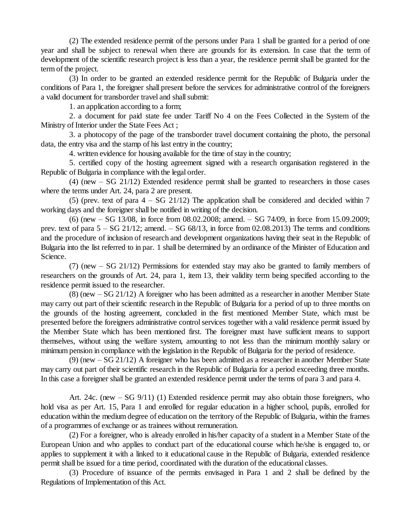(2) The extended residence permit of the persons under Para 1 shall be granted for a period of one year and shall be subject to renewal when there are grounds for its extension. In case that the term of development of the scientific research project is less than a year, the residence permit shall be granted for the term of the project.

(3) In order to be granted an extended residence permit for the Republic of Bulgaria under the conditions of Para 1, the foreigner shall present before the services for administrative control of the foreigners a valid document for transborder travel and shall submit:

1. an application according to a form;

2. a document for paid state fee under Tariff No 4 on the Fees Collected in the System of the Ministry of Interior under the State Fees Act;

3. a photocopy of the page of the transborder travel document containing the photo, the personal data, the entry visa and the stamp of his last entry in the country;

4. written evidence for housing available for the time ofstay in the country;

5. certified copy of the hosting agreement signed with a research organisation registered in the Republic of Bulgaria in compliance with the legal order.

 $(4)$  (new  $-$  SG 21/12) Extended residence permit shall be granted to researchers in those cases where the terms under Art. 24, para 2 are present.

(5) (prev. text of para  $4 - SG$  21/12) The application shall be considered and decided within 7 working days and the foreigner shall be notified in writing of the decision.

(6) (new  $-$  SG 13/08, in force from 08.02.2008; amend.  $-$  SG 74/09, in force from 15.09.2009; prev. text of para  $5 - SG$  21/12; amend.  $- SG$  68/13, in force from 02.08.2013) The terms and conditions and the procedure of inclusion of research and development organizations having their seat in the Republic of Bulgaria into the list referred to in par. 1 shall be determined by an ordinance of the Minister of Education and Science.

(7) (new  $-$  SG 21/12) Permissions for extended stay may also be granted to family members of researchers on the grounds of Art. 24, para 1, item 13, their validity term being specified according to the residence permit issued to the researcher.

 $(8)$  (new  $-$  SG 21/12) A foreigner who has been admitted as a researcher in another Member State may carry out part of their scientific research in the Republic of Bulgaria for a period of up to three months on the grounds of the hosting agreement, concluded in the first mentioned Member State, which must be presented before the foreigners administrative controlservices together with a valid residence permit issued by the Member State which has been mentioned first. The foreigner must have sufficient means to support themselves, without using the welfare system, amounting to not less than the minimum monthly salary or minimum pension in compliance with the legislation in the Republic of Bulgaria for the period of residence.

(9) (new  $-SG$  21/12) A foreigner who has been admitted as a researcher in another Member State may carry out part of their scientific research in the Republic of Bulgaria for a period exceeding three months. In this case a foreigner shall be granted an extended residence permit under the terms of para 3 and para 4.

Art. 24c. (new  $-$  SG 9/11) (1) Extended residence permit may also obtain those foreigners, who hold visa as per Art. 15, Para 1 and enrolled for regular education in a higher school, pupils, enrolled for education within the medium degree of education on the territory of the Republic of Bulgaria, within the frames of a programmes of exchange or as trainees without remuneration.

(2) For a foreigner, who is already enrolled in his/her capacity of a student in a Member State of the European Union and who applies to conduct part of the educational course which he/she is engaged to, or applies to supplement it with a linked to it educational cause in the Republic of Bulgaria, extended residence permit shall be issued for a time period, coordinated with the duration of the educational classes.

(3) Procedure of issuance of the permits envisaged in Para 1 and 2 shall be defined by the Regulations of Implementation of this Act.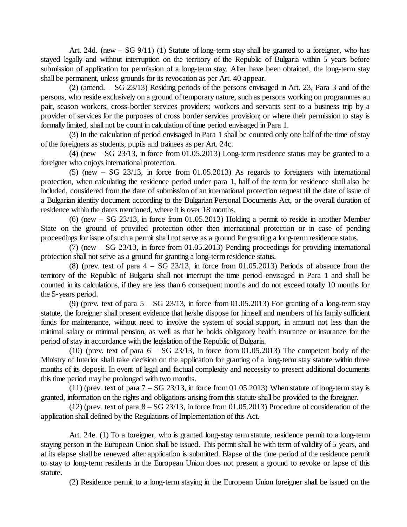Art. 24d. (new  $-$  SG 9/11) (1) Statute of long-term stay shall be granted to a foreigner, who has stayed legally and without interruption on the territory of the Republic of Bulgaria within 5 years before submission of application for permission of a long-term stay. After have been obtained, the long-term stay shall be permanent, unless grounds for its revocation as per Art. 40 appear.

(2) (amend. –SG 23/13) Residing periods of the persons envisaged in Art. 23, Para 3 and of the persons, who reside exclusively on a ground of temporary nature, such as persons working on programmes au pair, season workers, cross-border services providers; workers and servants sent to a business trip by a provider of services for the purposes of cross border services provision; or where their permission to stay is formally limited, shall not be count in calculation of time period envisaged in Para 1.

(3) In the calculation of period envisaged in Para 1 shall be counted only one half of the time ofstay of the foreigners as students, pupils and trainees as per Art. 24c.

(4) (new  $-$  SG 23/13, in force from 01.05.2013) Long-term residence status may be granted to a foreigner who enjoys international protection.

 $(5)$  (new – SG 23/13, in force from 01.05.2013) As regards to foreigners with international protection, when calculating the residence period under para 1, half of the term for residence shall also be included, considered from the date of submission of an international protection request till the date of issue of a Bulgarian identity document according to the Bulgarian Personal Documents Act, or the overall duration of residence within the dates mentioned, where it is over 18 months.

 $(6)$  (new  $-$  SG 23/13, in force from 01.05.2013) Holding a permit to reside in another Member State on the ground of provided protection other then international protection or in case of pending proceedings for issue of such a permit shall not serve as a ground for granting a long-term residence status.

(7) (new –SG 23/13, in force from 01.05.2013) Pending proceedings for providing international protection shall not serve as a ground for granting a long-term residence status.

(8) (prev. text of para  $4 - SG$  23/13, in force from 01.05.2013) Periods of absence from the territory of the Republic of Bulgaria shall not interrupt the time period envisaged in Para 1 and shall be counted in its calculations, if they are less than 6 consequent months and do not exceed totally 10 months for the 5-years period.

(9) (prev. text of para  $5 - SG$  23/13, in force from 01.05.2013) For granting of a long-term stay statute, the foreigner shall present evidence that he/she dispose for himself and members of his family sufficient funds for maintenance, without need to involve the system of social support, in amount not less than the minimal salary or minimal pension, as well as that he holds obligatory health insurance or insurance for the period of stay in accordance with the legislation of the Republic of Bulgaria.

(10) (prev. text of para  $6 - SG\ 23/13$ , in force from 01.05.2013) The competent body of the Ministry of Interior shall take decision on the application for granting of a long-term stay statute within three months of its deposit. In event of legal and factual complexity and necessity to present additional documents this time period may be prolonged with two months.

(11) (prev. text of para  $7 - SG$  23/13, in force from 01.05.2013) When statute of long-term stay is granted, information on the rights and obligations arising from this statute shall be provided to the foreigner.

(12) (prev. text of para  $8 - SG 23/13$ , in force from 01.05.2013) Procedure of consideration of the application shall defined by the Regulations of Implementation of this Act.

Art. 24e. (1) To a foreigner, who is granted long-stay term statute, residence permit to a long-term staying person in the European Union shall be issued. This permit shall be with term of validity of 5 years, and at its elapse shall be renewed after application is submitted. Elapse of the time period of the residence permit to stay to long-term residents in the European Union does not present a ground to revoke or lapse of this statute.

(2) Residence permit to a long-term staying in the European Union foreigner shall be issued on the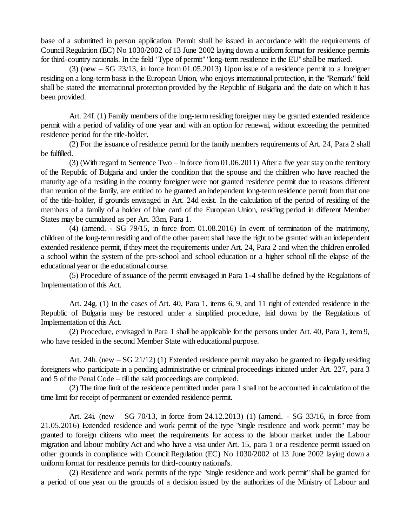base of a submitted in person application. Permit shall be issued in accordance with the requirements of Council Regulation (EC) No 1030/2002 of 13 June 2002 laying down a uniform format for residence permits for third-country nationals. In the field 'Type of permit" "long-term residence in the EU" shall be marked.

 $(3)$  (new  $-$  SG 23/13, in force from 01.05.2013) Upon issue of a residence permit to a foreigner residing on a long-term basis in the European Union, who enjoys international protection, in the "Remark" field shall be stated the international protection provided by the Republic of Bulgaria and the date on which it has been provided.

Art. 24f. (1) Family members of the long-term residing foreigner may be granted extended residence permit with a period of validity of one year and with an option for renewal, without exceeding the permitted residence period for the title-holder.

(2) For the issuance of residence permit for the family members requirements of Art. 24, Para 2 shall be fulfilled.

(3) (With regard to Sentence Two – in force from  $01.06.2011$ ) After a five year stay on the territory of the Republic of Bulgaria and under the condition that the spouse and the children who have reached the maturity age of a residing in the country foreigner were not granted residence permit due to reasons different than reunion of the family, are entitled to be granted an independent long-term residence permit from that one of the title-holder, if grounds envisaged in Art. 24d exist. In the calculation of the period of residing of the members of a family of a holder of blue card of the European Union, residing period in different Member States may be cumulated as per Art. 33m, Para 1.

(4) (amend. - SG 79/15, in force from 01.08.2016) In event of termination of the matrimony, children of the long-term residing and of the other parent shall have the right to be granted with an independent extended residence permit, if they meet the requirements under Art. 24, Para 2 and when the children enrolled a school within the system of the pre-school and school education or a higher school till the elapse of the educational year or the educational course.

(5) Procedure of issuance of the permit envisaged in Para 1-4 shall be defined by the Regulations of Implementation of this Act.

Art. 24g. (1) In the cases of Art. 40, Para 1, items 6, 9, and 11 right of extended residence in the Republic of Bulgaria may be restored under a simplified procedure, laid down by the Regulations of Implementation of this Act.

(2) Procedure, envisaged in Para 1 shall be applicable for the persons under Art. 40, Para 1, item 9, who have resided in the second Member State with educational purpose.

Art. 24h. (new  $-SG$  21/12) (1) Extended residence permit may also be granted to illegally residing foreigners who participate in a pending administrative or criminal proceedings initiated under Art. 227, para 3 and  $5$  of the Penal Code – till the said proceedings are completed.

(2) The time limit of the residence permitted under para 1 shall not be accounted in calculation of the time limit for receipt of permanent or extended residence permit.

Art. 24i. (new – SG 70/13, in force from 24.12.2013) (1) (amend. - SG 33/16, in force from 21.05.2016) Extended residence and work permit of the type "single residence and work permit" may be granted to foreign citizens who meet the requirements for access to the labour market under the Labour migration and labour mobility Act and who have a visa under Art. 15, para 1 or a residence permit issued on other grounds in compliance with Council Regulation (EC) No 1030/2002 of 13 June 2002 laying down a uniform format for residence permits for third-country national's.

(2) Residence and work permits of the type "single residence and work permit" shall be granted for a period of one year on the grounds of a decision issued by the authorities of the Ministry of Labour and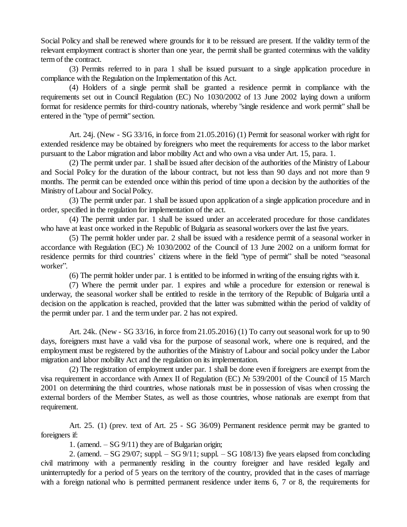Social Policy and shall be renewed where grounds for it to be reissued are present. If the validity term of the relevant employment contract is shorter than one year, the permit shall be granted coterminus with the validity term of the contract.

(3) Permits referred to in para 1 shall be issued pursuant to a single application procedure in compliance with the Regulation on the Implementation of this Act.

(4) Holders of a single permit shall be granted a residence permit in compliance with the requirements set out in Council Regulation (EC) No 1030/2002 of 13 June 2002 laying down a uniform format for residence permits for third-country nationals, whereby "single residence and work permit" shall be entered in the "type of permit" section.

Art. 24j. (New - SG 33/16, in force from 21.05.2016) (1) Permit for seasonal worker with right for extended residence may be obtained by foreigners who meet the requirements for access to the labor market pursuant to the Labor migration and labor mobility Act and who own a visa under Art. 15, para. 1.

(2) The permit under par. 1 shall be issued after decision of the authorities of the Ministry of Labour and Social Policy for the duration of the labour contract, but not less than 90 days and not more than 9 months. The permit can be extended once within this period of time upon a decision by the authorities of the Ministry of Labour and Social Policy.

(3) The permit under par. 1 shall be issued upon application of a single application procedure and in order, specified in the regulation for implementation of the act.

(4) The permit under par. 1 shall be issued under an accelerated procedure for those candidates who have at least once worked in the Republic of Bulgaria as seasonal workers over the last five years.

(5) The permit holder under par. 2 shall be issued with a residence permit of a seasonal worker in accordance with Regulation (EC) № 1030/2002 of the Council of 13 June 2002 on a uniform format for residence permits for third countries' citizens where in the field "type of permit" shall be noted "seasonal worker".

(6) The permit holder under par. 1 is entitled to be informed in writing of the ensuing rights with it.

(7) Where the permit under par. 1 expires and while a procedure for extension or renewal is underway, the seasonal worker shall be entitled to reside in the territory of the Republic of Bulgaria until a decision on the application is reached, provided that the latter was submitted within the period of validity of the permit under par. 1 and the term under par. 2 has not expired.

Art. 24k. (New - SG 33/16, in force from 21.05.2016) (1) To carry out seasonal work for up to 90 days, foreigners must have a valid visa for the purpose of seasonal work, where one is required, and the employment must be registered by the authorities of the Ministry of Labour and social policy under the Labor migration and labor mobility Act and the regulation on its implementation.

(2) The registration of employment under par. 1 shall be done even if foreigners are exempt from the visa requirement in accordance with Annex II of Regulation (EC) № 539/2001 of the Council of 15 March 2001 on determining the third countries, whose nationals must be in possession of visas when crossing the external borders of the Member States, as well as those countries, whose nationals are exempt from that requirement.

Art. 25. (1) (prev. text of Art. 25 - SG 36/09) Permanent residence permit may be granted to foreigners if:

1. (amend.  $-SG(9/11)$  they are of Bulgarian origin;

2. (amend.  $-SG 29/07$ ; suppl.  $-SG 9/11$ ; suppl.  $-SG 108/13$ ) five years elapsed from concluding civil matrimony with a permanently residing in the country foreigner and have resided legally and uninterruptedly for a period of 5 years on the territory of the country, provided that in the cases of marriage with a foreign national who is permitted permanent residence under items 6, 7 or 8, the requirements for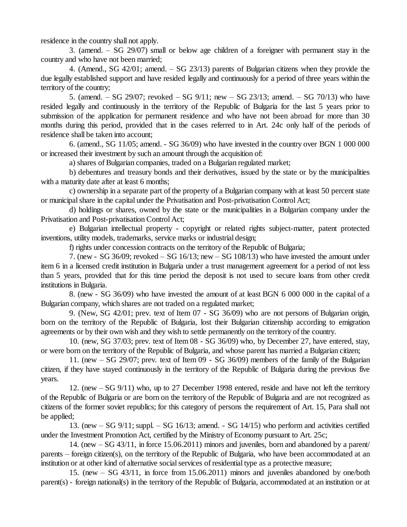residence in the country shall not apply.

3. (amend. –SG 29/07) small or below age children of a foreigner with permanent stay in the country and who have not been married;

4. (Amend., SG  $42/01$ ; amend.  $-$  SG  $23/13$ ) parents of Bulgarian citizens when they provide the due legally established support and have resided legally and continuously for a period of three years within the territory of the country;

5. (amend. – SG 29/07; revoked – SG 9/11; new – SG 23/13; amend. – SG 70/13) who have resided legally and continuously in the territory of the Republic of Bulgaria for the last 5 years prior to submission of the application for permanent residence and who have not been abroad for more than 30 months during this period, provided that in the cases referred to in Art. 24c only half of the periods of residence shall be taken into account;

6. (amend., SG 11/05; amend. - SG 36/09) who have invested in the country over BGN 1 000 000 or increased their investment by such an amount through the acquisition of:

a) shares of Bulgarian companies, traded on a Bulgarian regulated market;

b) debentures and treasury bonds and their derivatives, issued by the state or by the municipalities with a maturity date after at least 6 months;

c) ownership in a separate part of the property of a Bulgarian company with at least 50 percent state or municipalshare in the capital under the Privatisation and Post-privatisation Control Act;

d) holdings or shares, owned by the state or the municipalities in a Bulgarian company under the Privatisation and Post-privatisation Control Act;

e) Bulgarian intellectual property - copyright or related rights subject-matter, patent protected inventions, utility models, trademarks, service marks or industrial design;

f) rights under concession contracts on the territory of the Republic of Bulgaria;

7. (new - SG 36/09; revoked  $-$  SG 16/13; new  $-$  SG 108/13) who have invested the amount under item 6 in a licensed credit institution in Bulgaria under a trust management agreement for a period of not less than 5 years, provided that for this time period the deposit is not used to secure loans from other credit institutions in Bulgaria.

8. (new - SG 36/09) who have invested the amount of at least BGN 6 000 000 in the capital of a Bulgarian company, which shares are not traded on a regulated market;

9. (New, SG 42/01; prev. text of Item 07 - SG 36/09) who are not persons of Bulgarian origin, born on the territory of the Republic of Bulgaria, lost their Bulgarian citizenship according to emigration agreements or by their own wish and they wish to settle permanently on the territory of the country.

10. (new, SG 37/03; prev. text of Item 08 - SG 36/09) who, by December 27, have entered, stay, or were born on the territory of the Republic of Bulgaria, and whose parent has married a Bulgarian citizen;

11. (new –SG 29/07; prev. text of Item 09 - SG 36/09) members of the family of the Bulgarian citizen, if they have stayed continuously in the territory of the Republic of Bulgaria during the previous five years.

12. (new –SG 9/11) who, up to 27 December 1998 entered, reside and have not left the territory of the Republic of Bulgaria or are born on the territory of the Republic of Bulgaria and are not recognized as citizens of the former soviet republics; for this category of persons the requirement of Art. 15, Para shall not be applied;

13. (new  $-$  SG 9/11; suppl.  $-$  SG 16/13; amend.  $-$  SG 14/15) who perform and activities certified under the Investment Promotion Act, certified by the Ministry of Economy pursuant to Art. 25c;

14. (new  $-$  SG 43/11, in force 15.06.2011) minors and juveniles, born and abandoned by a parent/ parents – foreign citizen(s), on the territory of the Republic of Bulgaria, who have been accommodated at an institution or at other kind of alternative social services of residential type as a protective measure;

15. (new  $-$  SG 43/11, in force from 15.06.2011) minors and juveniles abandoned by one/both parent(s) - foreign national(s) in the territory of the Republic of Bulgaria, accommodated at an institution or at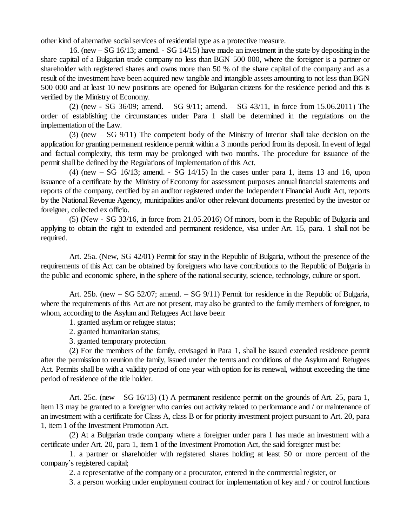other kind of alternative socialservices of residential type as a protective measure.

16. (new –SG 16/13; amend. - SG 14/15) have made an investment in the state by depositing in the share capital of a Bulgarian trade company no less than BGN 500 000, where the foreigner is a partner or shareholder with registered shares and owns more than 50 % of the share capital of the company and as a result of the investment have been acquired new tangible and intangible assets amounting to not less than BGN 500 000 and at least 10 new positions are opened for Bulgarian citizens for the residence period and this is verified by the Ministry of Economy.

 $(2)$  (new - SG 36/09; amend. – SG 9/11; amend. – SG 43/11, in force from 15.06.2011) The order of establishing the circumstances under Para 1 shall be determined in the regulations on the implementation of the Law.

(3) (new  $-$  SG 9/11) The competent body of the Ministry of Interior shall take decision on the application for granting permanent residence permit within a 3 months period from its deposit. In event of legal and factual complexity, this term may be prolonged with two months. The procedure for issuance of the permit shall be defined by the Regulations of Implementation of this Act.

 $(4)$  (new  $-$  SG 16/13; amend.  $-$  SG 14/15) In the cases under para 1, items 13 and 16, upon issuance of a certificate by the Ministry of Economy for assessment purposes annualfinancial statements and reports of the company, certified by an auditor registered under the Independent Financial Audit Act, reports by the National Revenue Agency, municipalities and/or other relevant documents presented by the investor or foreigner, collected ex officio.

(5) (New - SG 33/16, in force from 21.05.2016) Of minors, born in the Republic of Bulgaria and applying to obtain the right to extended and permanent residence, visa under Art. 15, para. 1 shall not be required.

Art. 25a. (New, SG 42/01) Permit for stay in the Republic of Bulgaria, without the presence of the requirements of this Act can be obtained by foreigners who have contributions to the Republic of Bulgaria in the public and economic sphere, in the sphere of the nationalsecurity, science, technology, culture or sport.

Art. 25b. (new  $-$  SG 52/07; amend.  $-$  SG 9/11) Permit for residence in the Republic of Bulgaria, where the requirements of this Act are not present, may also be granted to the family members of foreigner, to whom, according to the Asylum and Refugees Act have been:

1. granted asylum or refugee status;

2. granted humanitarian status;

3. granted temporary protection.

(2) For the members of the family, envisaged in Para 1, shall be issued extended residence permit after the permission to reunion the family, issued under the terms and conditions of the Asylum and Refugees Act. Permits shall be with a validity period of one year with option for its renewal, without exceeding the time period of residence of the title holder.

Art. 25c. (new  $-$  SG 16/13) (1) A permanent residence permit on the grounds of Art. 25, para 1, item 13 may be granted to a foreigner who carries out activity related to performance and / or maintenance of an investment with a certificate for Class A, class B or for priority investment project pursuant to Art. 20, para 1, item 1 of the Investment Promotion Act.

(2) At a Bulgarian trade company where a foreigner under para 1 has made an investment with a certificate under Art. 20, para 1, item 1 of the Investment Promotion Act, the said foreigner must be:

1. a partner or shareholder with registered shares holding at least 50 or more percent of the company's registered capital;

2. a representative of the company or a procurator, entered in the commercial register, or

3. a person working under employment contract for implementation of key and / or controlfunctions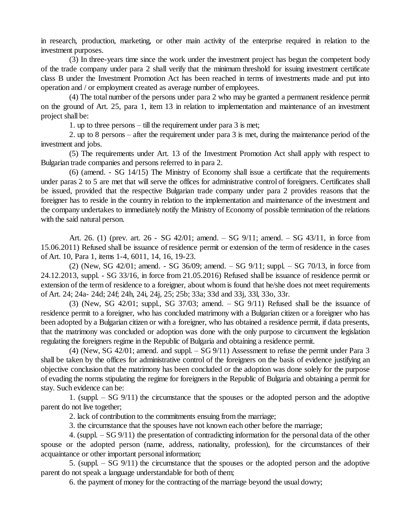in research, production, marketing, or other main activity of the enterprise required in relation to the investment purposes.

(3) In three-years time since the work under the investment project has begun the competent body of the trade company under para 2 shall verify that the minimum threshold for issuing investment certificate class B under the Investment Promotion Act has been reached in terms of investments made and put into operation and / or employment created as average number of employees.

(4) The total number of the persons under para 2 who may be granted a permanent residence permit on the ground of Art. 25, para 1, item 13 in relation to implementation and maintenance of an investment project shall be:

1. up to three persons  $-$  till the requirement under para 3 is met;

2. up to 8 persons –after the requirement under para 3 is met, during the maintenance period of the investment and jobs.

(5) The requirements under Art. 13 of the Investment Promotion Act shall apply with respect to Bulgarian trade companies and persons referred to in para 2.

(6) (amend. - SG 14/15) The Ministry of Economy shall issue a certificate that the requirements under paras 2 to 5 are met that will serve the offices for administrative control of foreigners. Certificates shall be issued, provided that the respective Bulgarian trade company under para 2 provides reasons that the foreigner has to reside in the country in relation to the implementation and maintenance of the investment and the company undertakes to immediately notify the Ministry of Economy of possible termination of the relations with the said natural person.

Art. 26. (1) (prev. art. 26 - SG 42/01; amend. – SG 9/11; amend. – SG 43/11, in force from 15.06.2011) Refused shall be issuance of residence permit or extension of the term of residence in the cases of Art. 10, Para 1, items 1-4, 6011, 14, 16, 19-23.

(2) (New, SG  $42/01$ ; amend. - SG  $36/09$ ; amend.  $-$  SG  $9/11$ ; suppl.  $-$  SG  $70/13$ , in force from 24.12.2013, suppl. - SG 33/16, in force from 21.05.2016) Refused shall be issuance of residence permit or extension of the term of residence to a foreigner, about whom is found that he/she does not meet requirements of Art. 24; 24a- 24d; 24f; 24h, 24i, 24j, 25; 25b; 33a; 33d and 33j, 33l, 33o, 33r.

(3) (New, SG 42/01; suppl., SG 37/03; amend.  $-$  SG 9/11) Refused shall be the issuance of residence permit to a foreigner, who has concluded matrimony with a Bulgarian citizen or a foreigner who has been adopted by a Bulgarian citizen or with a foreigner, who has obtained a residence permit, if data presents, that the matrimony was concluded or adoption was done with the only purpose to circumvent the legislation regulating the foreigners regime in the Republic of Bulgaria and obtaining a residence permit.

(4) (New, SG 42/01; amend. and suppl.  $-$  SG 9/11) Assessment to refuse the permit under Para 3 shall be taken by the offices for administrative control of the foreigners on the basis of evidence justifying an objective conclusion that the matrimony has been concluded or the adoption was done solely for the purpose of evading the norms stipulating the regime for foreigners in the Republic of Bulgaria and obtaining a permit for stay. Such evidence can be:

1. (suppl.  $-$  SG 9/11) the circumstance that the spouses or the adopted person and the adoptive parent do not live together;

2. lack of contribution to the commitments ensuing from the marriage;

3. the circumstance that the spouses have not known each other before the marriage;

4. (suppl. –SG 9/11) the presentation of contradicting information for the personal data of the other spouse or the adopted person (name, address, nationality, profession), for the circumstances of their acquaintance or other important personal information;

5. (suppl.  $-$  SG 9/11) the circumstance that the spouses or the adopted person and the adoptive parent do not speak a language understandable for both of them;

6. the payment of money for the contracting of the marriage beyond the usual dowry;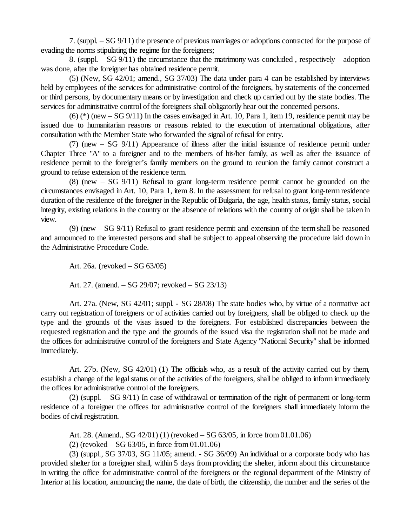7. (suppl. –SG 9/11) the presence of previous marriages or adoptions contracted for the purpose of evading the norms stipulating the regime for the foreigners;

8. (suppl.  $-$  SG 9/11) the circumstance that the matrimony was concluded, respectively – adoption was done, after the foreigner has obtained residence permit.

(5) (New, SG 42/01; amend., SG 37/03) The data under para 4 can be established by interviews held by employees of the services for administrative control of the foreigners, by statements of the concerned or third persons, by documentary means or by investigation and check up carried out by the state bodies. The services for administrative control of the foreigners shall obligatorily hear out the concerned persons.

 $(6)$  (\*) (new  $-$  SG 9/11) In the cases envisaged in Art. 10, Para 1, item 19, residence permit may be issued due to humanitarian reasons or reasons related to the execution of international obligations, after consultation with the Member State who forwarded the signal of refusal for entry.

(7) (new  $-$  SG 9/11) Appearance of illness after the initial issuance of residence permit under Chapter Three "A" to a foreigner and to the members of his/her family, as well as after the issuance of residence permit to the foreigner's family members on the ground to reunion the family cannot construct a ground to refuse extension of the residence term.

 $(8)$  (new  $-$  SG  $9/11$ ) Refusal to grant long-term residence permit cannot be grounded on the circumstances envisaged in Art. 10, Para 1, item 8. In the assessment for refusal to grant long-term residence duration of the residence of the foreigner in the Republic of Bulgaria, the age, health status, family status, social integrity, existing relations in the country or the absence of relations with the country of origin shall be taken in view.

 $(9)$  (new  $-$  SG  $9/11$ ) Refusal to grant residence permit and extension of the term shall be reasoned and announced to the interested persons and shall be subject to appeal observing the procedure laid down in the Administrative Procedure Code.

Art. 26a. (revoked – SG 63/05)

Art. 27. (amend.  $-$  SG 29/07; revoked  $-$  SG 23/13)

Art. 27a. (New, SG 42/01; suppl. - SG 28/08) The state bodies who, by virtue of a normative act carry out registration of foreigners or of activities carried out by foreigners, shall be obliged to check up the type and the grounds of the visas issued to the foreigners. For established discrepancies between the requested registration and the type and the grounds of the issued visa the registration shall not be made and the offices for administrative control of the foreigners and State Agency "National Security" shall be informed immediately.

Art. 27b. (New, SG 42/01) (1) The officials who, as a result of the activity carried out by them, establish a change of the legal status or of the activities of the foreigners, shall be obliged to inform immediately the offices for administrative control of the foreigners.

 $(2)$  (suppl. – SG 9/11) In case of withdrawal or termination of the right of permanent or long-term residence of a foreigner the offices for administrative control of the foreigners shall immediately inform the bodies of civil registration.

Art. 28. (Amend., SG  $42/01$ ) (1) (revoked  $-$  SG  $63/05$ , in force from 01.01.06)

 $(2)$  (revoked  $-$  SG 63/05, in force from 01.01.06)

(3) (suppl., SG 37/03, SG 11/05; amend. - SG 36/09) An individual or a corporate body who has provided shelter for a foreigner shall, within 5 days from providing the shelter, inform about this circumstance in writing the office for administrative control of the foreigners or the regional department of the Ministry of Interior at his location, announcing the name, the date of birth, the citizenship, the number and the series of the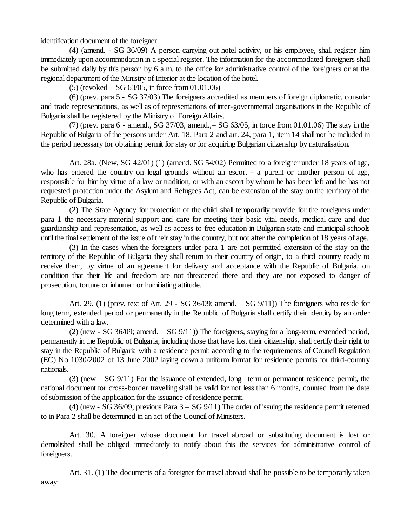identification document of the foreigner.

(4) (amend. - SG 36/09) A person carrying out hotel activity, or his employee, shall register him immediately upon accommodation in a special register. The information for the accommodated foreigners shall be submitted daily by this person by 6 a.m. to the office for administrative control of the foreigners or at the regional department of the Ministry of Interior at the location of the hotel.

 $(5)$  (revoked  $-$  SG 63/05, in force from 01.01.06)

(6) (prev. para 5 - SG 37/03) The foreigners accredited as members of foreign diplomatic, consular and trade representations, as well as of representations of inter-governmental organisations in the Republic of Bulgaria shall be registered by the Ministry of Foreign Affairs.

 $(7)$  (prev. para 6 - amend., SG 37/03, amend., $-$  SG 63/05, in force from 01.01.06) The stay in the Republic of Bulgaria of the persons under Art. 18, Para 2 and art. 24, para 1, item 14 shall not be included in the period necessary for obtaining permit for stay or for acquiring Bulgarian citizenship by naturalisation.

Art. 28a. (New, SG 42/01) (1) (amend. SG 54/02) Permitted to a foreigner under 18 years of age, who has entered the country on legal grounds without an escort - a parent or another person of age, responsible for him by virtue of a law or tradition, or with an escort by whom he has been left and he has not requested protection under the Asylum and Refugees Act, can be extension of the stay on the territory of the Republic of Bulgaria.

(2) The State Agency for protection of the child shall temporarily provide for the foreigners under para 1 the necessary material support and care for meeting their basic vital needs, medical care and due guardianship and representation, as well as access to free education in Bulgarian state and municipal schools until the final settlement of the issue of their stay in the country, but not after the completion of 18 years of age.

(3) In the cases when the foreigners under para 1 are not permitted extension of the stay on the territory of the Republic of Bulgaria they shall return to their country of origin, to a third country ready to receive them, by virtue of an agreement for delivery and acceptance with the Republic of Bulgaria, on condition that their life and freedom are not threatened there and they are not exposed to danger of prosecution, torture or inhuman or humiliating attitude.

Art. 29. (1) (prev. text of Art. 29 - SG 36/09; amend.  $-$  SG 9/11)) The foreigners who reside for long term, extended period or permanently in the Republic of Bulgaria shall certify their identity by an order determined with a law.

 $(2)$  (new - SG 36/09; amend.  $-SG(9/11)$ ) The foreigners, staying for a long-term, extended period, permanently in the Republic of Bulgaria, including those that have lost their citizenship, shall certify their right to stay in the Republic of Bulgaria with a residence permit according to the requirements of Council Regulation (EC) No 1030/2002 of 13 June 2002 laying down a uniform format for residence permits for third-country nationals.

 $(3)$  (new  $-$  SG 9/11) For the issuance of extended, long –term or permanent residence permit, the national document for cross-border travelling shall be valid for not less than 6 months, counted from the date of submission of the application for the issuance of residence permit.

(4) (new - SG 36/09; previous Para  $3 - SG$  9/11) The order of issuing the residence permit referred to in Para 2 shall be determined in an act of the Council of Ministers.

Art. 30. A foreigner whose document for travel abroad or substituting document is lost or demolished shall be obliged immediately to notify about this the services for administrative control of foreigners.

Art. 31. (1) The documents of a foreigner for travel abroad shall be possible to be temporarily taken away: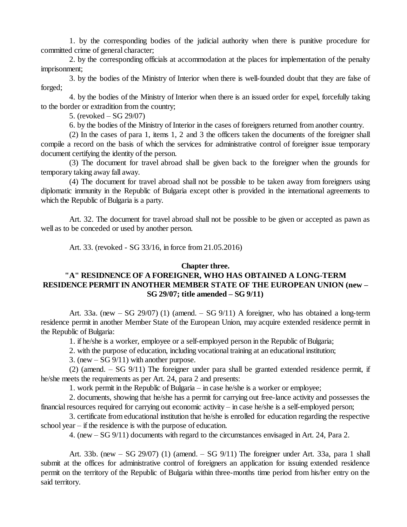1. by the corresponding bodies of the judicial authority when there is punitive procedure for committed crime of general character;

2. by the corresponding officials at accommodation at the places for implementation of the penalty imprisonment;

3. by the bodies of the Ministry of Interior when there is well-founded doubt that they are false of forged;

4. by the bodies of the Ministry of Interior when there is an issued order for expel, forcefully taking to the border or extradition from the country;

5. (revoked  $-$  SG 29/07)

6. by the bodies of the Ministry of Interior in the cases of foreigners returned from another country.

(2) In the cases of para 1, items 1, 2 and 3 the officers taken the documents of the foreigner shall compile a record on the basis of which the services for administrative control of foreigner issue temporary document certifying the identity of the person.

(3) The document for travel abroad shall be given back to the foreigner when the grounds for temporary taking away fall away.

(4) The document for travel abroad shall not be possible to be taken away from foreigners using diplomatic immunity in the Republic of Bulgaria except other is provided in the international agreements to which the Republic of Bulgaria is a party.

Art. 32. The document for travel abroad shall not be possible to be given or accepted as pawn as well as to be conceded or used by another person.

Art. 33. (revoked - SG 33/16, in force from 21.05.2016)

#### **Chapter three.**

# **"A" RESIDNENCE OF A FOREIGNER, WHO HAS OBTAINED A LONG-TERM RESIDENCE PERMIT IN ANOTHER MEMBER STATE OF THE EUROPEAN UNION (new – SG 29/07; title amended –SG 9/11)**

Art. 33a. (new  $-$  SG 29/07) (1) (amend.  $-$  SG 9/11) A foreigner, who has obtained a long-term residence permit in another Member State of the European Union, may acquire extended residence permit in the Republic of Bulgaria:

1. if he/she is a worker, employee or a self-employed person in the Republic of Bulgaria;

2. with the purpose of education, including vocational training at an educational institution;

3. (new  $-$  SG  $9/11$ ) with another purpose.

(2) (amend.  $-$  SG 9/11) The foreigner under para shall be granted extended residence permit, if he/she meets the requirements as per Art. 24, para 2 and presents:

1. work permit in the Republic of Bulgaria – in case he/she is a worker or employee;

2. documents, showing that he/she has a permit for carrying out free-lance activity and possesses the financial resources required for carrying out economic activity – in case he/she is a self-employed person;

3. certificate from educational institution that he/she is enrolled for education regarding the respective school year  $-$  if the residence is with the purpose of education.

4. (new –SG 9/11) documents with regard to the circumstances envisaged in Art. 24, Para 2.

Art. 33b. (new  $-$  SG 29/07) (1) (amend.  $-$  SG 9/11) The foreigner under Art. 33a, para 1 shall submit at the offices for administrative control of foreigners an application for issuing extended residence permit on the territory of the Republic of Bulgaria within three-months time period from his/her entry on the said territory.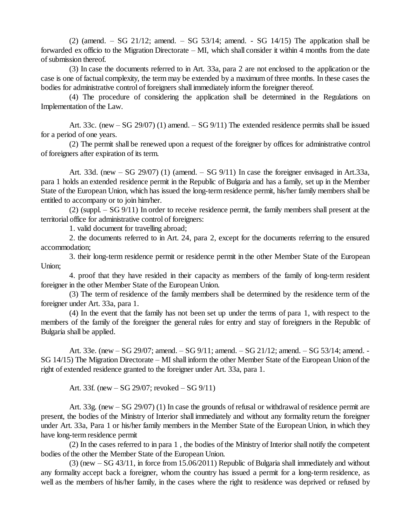(2) (amend. – SG 21/12; amend. – SG 53/14; amend. - SG 14/15) The application shall be forwarded ex officio to the Migration Directorate  $-MI$ , which shall consider it within 4 months from the date ofsubmission thereof.

(3) In case the documents referred to in Art. 33a, para 2 are not enclosed to the application or the case is one of factual complexity, the term may be extended by a maximum of three months. In these cases the bodies for administrative control of foreigners shall immediately inform the foreigner thereof.

(4) The procedure of considering the application shall be determined in the Regulations on Implementation of the Law.

Art. 33c. (new  $-$  SG 29/07) (1) amend.  $-$  SG 9/11) The extended residence permits shall be issued for a period of one years.

(2) The permit shall be renewed upon a request of the foreigner by offices for administrative control of foreigners after expiration of its term.

Art. 33d. (new  $-$  SG 29/07) (1) (amend.  $-$  SG 9/11) In case the foreigner envisaged in Art.33a, para 1 holds an extended residence permit in the Republic of Bulgaria and has a family, set up in the Member State of the European Union, which has issued the long-term residence permit, his/her family members shall be entitled to accompany or to join him/her.

(2) (suppl.  $-$  SG 9/11) In order to receive residence permit, the family members shall present at the territorial office for administrative control of foreigners:

1. valid document for travelling abroad;

2. the documents referred to in Art. 24, para 2, except for the documents referring to the ensured accommodation;

3. their long-term residence permit or residence permit in the other Member State of the European Union;

4. proof that they have resided in their capacity as members of the family of long-term resident foreigner in the other Member State of the European Union.

(3) The term of residence of the family members shall be determined by the residence term of the foreigner under Art. 33a, para 1.

(4) In the event that the family has not been set up under the terms of para 1, with respect to the members of the family of the foreigner the general rules for entry and stay of foreigners in the Republic of Bulgaria shall be applied.

Art. 33e. (new  $-$  SG 29/07; amend.  $-$  SG 9/11; amend.  $-$  SG 21/12; amend.  $-$  SG 53/14; amend. -SG 14/15) The Migration Directorate – MI shall inform the other Member State of the European Union of the right of extended residence granted to the foreigner under Art. 33a, para 1.

Art. 33f. (new  $-$  SG 29/07; revoked  $-$  SG 9/11)

Art. 33g. (new – SG 29/07) (1) In case the grounds of refusal or withdrawal of residence permit are present, the bodies of the Ministry of Interior shall immediately and without any formality return the foreigner under Art. 33a, Para 1 or his/her family members in the Member State of the European Union, in which they have long-term residence permit

(2) In the cases referred to in para 1 , the bodies of the Ministry of Interior shall notify the competent bodies of the other the Member State of the European Union.

(3) (new –SG 43/11, in force from 15.06/2011) Republic of Bulgaria shall immediately and without any formality accept back a foreigner, whom the country has issued a permit for a long-term residence, as well as the members of his/her family, in the cases where the right to residence was deprived or refused by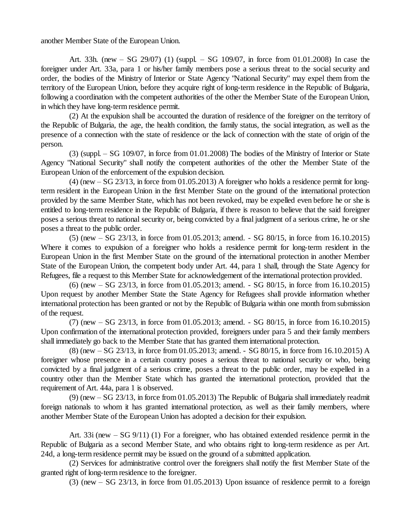another Member State of the European Union.

Art. 33h. (new  $-$  SG 29/07) (1) (suppl.  $-$  SG 109/07, in force from 01.01.2008) In case the foreigner under Art. 33a, para 1 or his/her family members pose a serious threat to the social security and order, the bodies of the Ministry of Interior or State Agency "National Security" may expel them from the territory of the European Union, before they acquire right of long-term residence in the Republic of Bulgaria, following a coordination with the competent authorities of the other the Member State of the European Union, in which they have long-term residence permit.

(2) At the expulsion shall be accounted the duration of residence of the foreigner on the territory of the Republic of Bulgaria, the age, the health condition, the family status, the social integration, as well as the presence of a connection with the state of residence or the lack of connection with the state of origin of the person.

 $(3)$  (suppl. – SG 109/07, in force from 01.01.2008) The bodies of the Ministry of Interior or State Agency "National Security" shall notify the competent authorities of the other the Member State of the European Union of the enforcement of the expulsion decision.

 $(4)$  (new  $-$  SG 23/13, in force from 01.05.2013) A foreigner who holds a residence permit for longterm resident in the European Union in the first Member State on the ground of the international protection provided by the same Member State, which has not been revoked, may be expelled even before he or she is entitled to long-term residence in the Republic of Bulgaria, if there is reason to believe that the said foreigner poses a serious threat to national security or, being convicted by a final judgment of a serious crime, he or she poses a threat to the public order.

(5) (new –SG 23/13, in force from 01.05.2013; amend. - SG 80/15, in force from 16.10.2015) Where it comes to expulsion of a foreigner who holds a residence permit for long-term resident in the European Union in the first Member State on the ground of the international protection in another Member State of the European Union, the competent body under Art. 44, para 1 shall, through the State Agency for Refugees, file a request to this Member State for acknowledgement of the international protection provided.

(6) (new –SG 23/13, in force from 01.05.2013; amend. - SG 80/15, in force from 16.10.2015) Upon request by another Member State the State Agency for Refugees shall provide information whether international protection has been granted or not by the Republic of Bulgaria within one month from submission of the request.

(7) (new –SG 23/13, in force from 01.05.2013; amend. - SG 80/15, in force from 16.10.2015) Upon confirmation of the international protection provided, foreigners under para 5 and their family members shall immediately go back to the Member State that has granted them international protection.

(8) (new –SG 23/13, in force from 01.05.2013; amend. - SG 80/15, in force from 16.10.2015) A foreigner whose presence in a certain country poses a serious threat to national security or who, being convicted by a final judgment of a serious crime, poses a threat to the public order, may be expelled in a country other than the Member State which has granted the international protection, provided that the requirement of Art. 44a, para 1 is observed.

 $(9)$  (new  $-$  SG 23/13, in force from 01.05.2013) The Republic of Bulgaria shall immediately readmit foreign nationals to whom it has granted international protection, as well as their family members, where another Member State of the European Union has adopted a decision for their expulsion.

Art. 33i (new – SG 9/11) (1) For a foreigner, who has obtained extended residence permit in the Republic of Bulgaria as a second Member State, and who obtains right to long-term residence as per Art. 24d, a long-term residence permit may be issued on the ground of a submitted application.

(2) Services for administrative control over the foreigners shall notify the first Member State of the granted right of long-term residence to the foreigner.

(3) (new  $-$  SG 23/13, in force from 01.05.2013) Upon issuance of residence permit to a foreign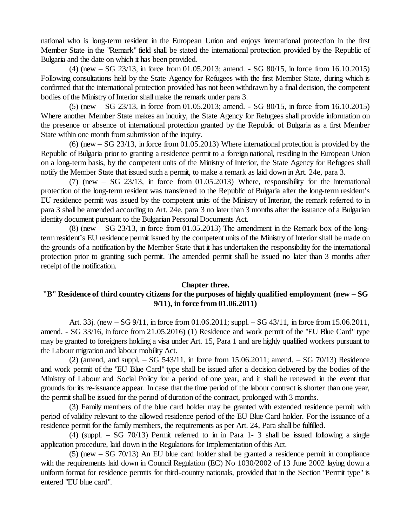national who is long-term resident in the European Union and enjoys international protection in the first Member State in the "Remark" field shall be stated the international protection provided by the Republic of Bulgaria and the date on which it has been provided.

(4) (new –SG 23/13, in force from 01.05.2013; amend. - SG 80/15, in force from 16.10.2015) Following consultations held by the State Agency for Refugees with the first Member State, during which is confirmed that the international protection provided has not been withdrawn by a final decision, the competent bodies of the Ministry of Interior shall make the remark under para 3.

(5) (new –SG 23/13, in force from 01.05.2013; amend. - SG 80/15, in force from 16.10.2015) Where another Member State makes an inquiry, the State Agency for Refugees shall provide information on the presence or absence of international protection granted by the Republic of Bulgaria as a first Member State within one month from submission of the inquiry.

 $(6)$  (new  $-$  SG 23/13, in force from 01.05.2013) Where international protection is provided by the Republic of Bulgaria prior to granting a residence permit to a foreign national, residing in the European Union on a long-term basis, by the competent units of the Ministry of Interior, the State Agency for Refugees shall notify the Member State that issued such a permit, to make a remark as laid down in Art. 24e, para 3.

(7) (new  $-$  SG 23/13, in force from 01.05.2013) Where, responsibility for the international protection of the long-term resident was transferred to the Republic of Bulgaria after the long-term resident's EU residence permit was issued by the competent units of the Ministry of Interior, the remark referred to in para 3 shall be amended according to Art. 24e, para 3 no later than 3 months after the issuance of a Bulgarian identity document pursuant to the Bulgarian Personal Documents Act.

 $(8)$  (new  $-$  SG 23/13, in force from 01.05.2013) The amendment in the Remark box of the longterm resident's EU residence permit issued by the competent units of the Ministry of Interior shall be made on the grounds of a notification by the Member State that it has undertaken the responsibility for the international protection prior to granting such permit. The amended permit shall be issued no later than 3 months after receipt of the notification.

#### **Chapter three.**

# **"B" Residence of third country citizens for the purposes of highly qualified employment (new –SG 9/11), in force from 01.06.2011)**

Art. 33j. (new –SG 9/11, in force from 01.06.2011; suppl. –SG 43/11, in force from 15.06.2011, amend. - SG 33/16, in force from 21.05.2016) (1) Residence and work permit of the "EU Blue Card" type may be granted to foreigners holding a visa under Art. 15, Para 1 and are highly qualified workers pursuant to the Labour migration and labour mobility Act.

(2) (amend, and suppl.  $-$  SG 543/11, in force from 15.06.2011; amend.  $-$  SG 70/13) Residence and work permit of the "EU Blue Card" type shall be issued after a decision delivered by the bodies of the Ministry of Labour and Social Policy for a period of one year, and it shall be renewed in the event that grounds for its re-issuance appear. In case that the time period of the labour contract is shorter than one year, the permit shall be issued for the period of duration of the contract, prolonged with 3 months.

(3) Family members of the blue card holder may be granted with extended residence permit with period of validity relevant to the allowed residence period of the EU Blue Card holder. For the issuance of a residence permit for the family members, the requirements as per Art. 24, Para shall be fulfilled.

(4) (suppl.  $-$  SG 70/13) Permit referred to in in Para 1- 3 shall be issued following a single application procedure, laid down in the Regulations for Implementation of this Act.

 $(5)$  (new  $-$  SG 70/13) An EU blue card holder shall be granted a residence permit in compliance with the requirements laid down in Council Regulation (EC) No 1030/2002 of 13 June 2002 laying down a uniform format for residence permits for third-country nationals, provided that in the Section "Permit type" is entered "EU blue card".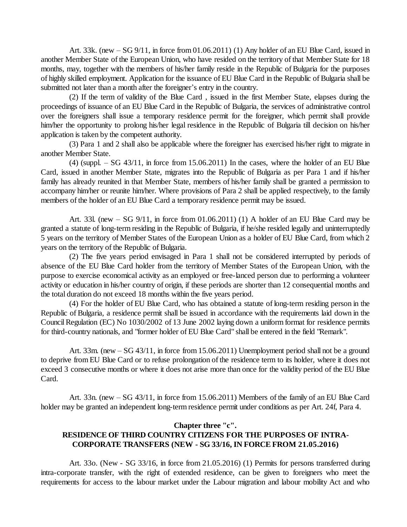Art. 33k. (new  $-$  SG 9/11, in force from 01.06.2011) (1) Any holder of an EU Blue Card, issued in another Member State of the European Union, who have resided on the territory of that Member State for 18 months, may, together with the members of his/her family reside in the Republic of Bulgaria for the purposes of highly skilled employment. Application for the issuance of EU Blue Card in the Republic of Bulgaria shall be submitted not later than a month after the foreigner's entry in the country.

(2) If the term of validity of the Blue Card , issued in the first Member State, elapses during the proceedings of issuance of an EU Blue Card in the Republic of Bulgaria, the services of administrative control over the foreigners shall issue a temporary residence permit for the foreigner, which permit shall provide him/her the opportunity to prolong his/her legal residence in the Republic of Bulgaria till decision on his/her application is taken by the competent authority.

(3) Para 1 and 2 shall also be applicable where the foreigner has exercised his/her right to migrate in another Member State.

 $(4)$  (suppl. – SG 43/11, in force from 15.06.2011) In the cases, where the holder of an EU Blue Card, issued in another Member State, migrates into the Republic of Bulgaria as per Para 1 and if his/her family has already reunited in that Member State, members of his/her family shall be granted a permission to accompany him/her or reunite him/her. Where provisions of Para 2 shall be applied respectively, to the family members of the holder of an EU Blue Card a temporary residence permit may be issued.

Art. 331. (new  $-$  SG 9/11, in force from 01.06.2011) (1) A holder of an EU Blue Card may be granted a statute of long-term residing in the Republic of Bulgaria, if he/she resided legally and uninterruptedly 5 years on the territory of Member States of the European Union as a holder of EU Blue Card, from which 2 years on the territory of the Republic of Bulgaria.

(2) The five years period envisaged in Para 1 shall not be considered interrupted by periods of absence of the EU Blue Card holder from the territory of Member States of the European Union, with the purpose to exercise economical activity as an employed or free-lanced person due to performing a volunteer activity or education in his/her country of origin, if these periods are shorter than 12 consequential months and the total duration do not exceed 18 months within the five years period.

(4) For the holder of EU Blue Card, who has obtained a statute of long-term residing person in the Republic of Bulgaria, a residence permit shall be issued in accordance with the requirements laid down in the CouncilRegulation (EC) No 1030/2002 of 13 June 2002 laying down a uniform format for residence permits for third-country nationals, and "former holder of EU Blue Card" shall be entered in the field "Remark".

Art.  $33m$ . (new  $-SG\left(43/11\right)$ , in force from 15.06.2011) Unemployment period shall not be a ground to deprive from EU Blue Card or to refuse prolongation of the residence term to its holder, where it does not exceed 3 consecutive months or where it does not arise more than once for the validity period of the EU Blue Card.

Art. 33n. (new  $-SG$  43/11, in force from 15.06.2011) Members of the family of an EU Blue Card holder may be granted an independent long-term residence permit under conditions as per Art. 24f, Para 4.

#### **Chapter three "c".**

# **RESIDENCE OF THIRD COUNTRY CITIZENS FOR THE PURPOSES OF INTRA-CORPORATE TRANSFERS (NEW - SG 33/16, IN FORCE FROM 21.05.2016)**

Art. 33o. (New - SG 33/16, in force from 21.05.2016) (1) Permits for persons transferred during intra-corporate transfer, with the right of extended residence, can be given to foreigners who meet the requirements for access to the labour market under the Labour migration and labour mobility Act and who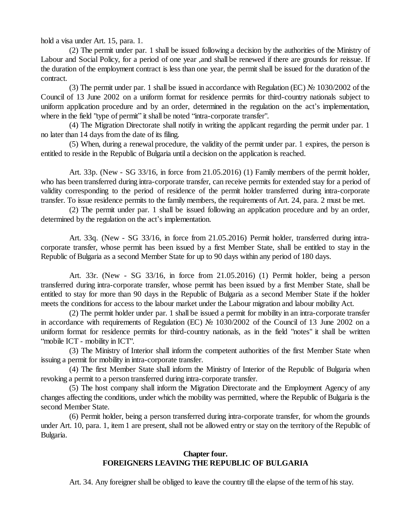hold a visa under Art. 15, para. 1.

(2) The permit under par. 1 shall be issued following a decision by the authorities of the Ministry of Labour and Social Policy, for a period of one year ,and shall be renewed if there are grounds for reissue. If the duration of the employment contract is less than one year, the permit shall be issued for the duration of the contract.

(3) The permit under par. 1 shall be issued in accordance with Regulation (EC) № 1030/2002 of the Council of 13 June 2002 on a uniform format for residence permits for third-country nationals subject to uniform application procedure and by an order, determined in the regulation on the act's implementation, where in the field "type of permit" it shall be noted "intra-corporate transfer".

(4) The Migration Directorate shall notify in writing the applicant regarding the permit under par. 1 no later than 14 days from the date of its filing.

(5) When, during a renewal procedure, the validity of the permit under par. 1 expires, the person is entitled to reside in the Republic of Bulgaria until a decision on the application is reached.

Art. 33p. (New - SG 33/16, in force from 21.05.2016) (1) Family members of the permit holder, who has been transferred during intra-corporate transfer, can receive permits for extended stay for a period of validity corresponding to the period of residence of the permit holder transferred during intra-corporate transfer. To issue residence permits to the family members, the requirements of Art. 24, para. 2 must be met.

(2) The permit under par. 1 shall be issued following an application procedure and by an order, determined by the regulation on the act's implementation.

Art. 33q. (New - SG 33/16, in force from 21.05.2016) Permit holder, transferred during intracorporate transfer, whose permit has been issued by a first Member State, shall be entitled to stay in the Republic of Bulgaria as a second Member State for up to 90 days within any period of 180 days.

Art. 33r. (New - SG 33/16, in force from 21.05.2016) (1) Permit holder, being a person transferred during intra-corporate transfer, whose permit has been issued by a first Member State, shall be entitled to stay for more than 90 days in the Republic of Bulgaria as a second Member State if the holder meets the conditions for access to the labour market under the Labour migration and labour mobility Act.

(2) The permit holder under par. 1 shall be issued a permit for mobility in an intra-corporate transfer in accordance with requirements of Regulation (EC) № 1030/2002 of the Council of 13 June 2002 on a uniform format for residence permits for third-country nationals, as in the field "notes" it shall be written "mobile ICT - mobility in ICT".

(3) The Ministry of Interior shall inform the competent authorities of the first Member State when issuing a permit for mobility in intra-corporate transfer.

(4) The first Member State shall inform the Ministry of Interior of the Republic of Bulgaria when revoking a permit to a person transferred during intra-corporate transfer.

(5) The host company shall inform the Migration Directorate and the Employment Agency of any changes affecting the conditions, under which the mobility was permitted, where the Republic of Bulgaria is the second Member State.

(6) Permit holder, being a person transferred during intra-corporate transfer, for whom the grounds under Art. 10, para. 1, item 1 are present, shall not be allowed entry or stay on the territory of the Republic of Bulgaria.

#### **Chapter four. FOREIGNERS LEAVING THE REPUBLIC OF BULGARIA**

Art. 34. Any foreigner shall be obliged to leave the country till the elapse of the term of his stay.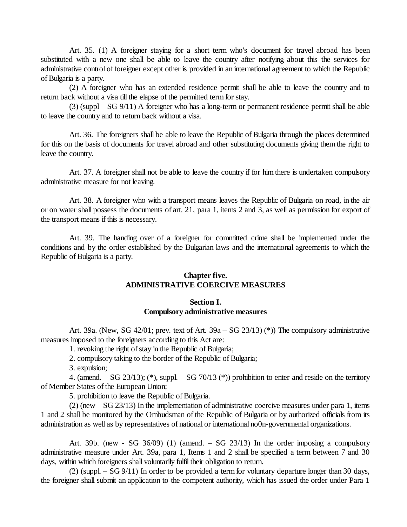Art. 35. (1) A foreigner staying for a short term who's document for travel abroad has been substituted with a new one shall be able to leave the country after notifying about this the services for administrative control of foreigner except other is provided in an international agreement to which the Republic of Bulgaria is a party.

(2) A foreigner who has an extended residence permit shall be able to leave the country and to return back without a visa till the elapse of the permitted term for stay.

 $(3)$  (suppl – SG 9/11) A foreigner who has a long-term or permanent residence permit shall be able to leave the country and to return back without a visa.

Art. 36. The foreigners shall be able to leave the Republic of Bulgaria through the places determined for this on the basis of documents for travel abroad and other substituting documents giving them the right to leave the country.

Art. 37. A foreigner shall not be able to leave the country if for him there is undertaken compulsory administrative measure for not leaving.

Art. 38. A foreigner who with a transport means leaves the Republic of Bulgaria on road, in the air or on water shall possess the documents of art. 21, para 1, items 2 and 3, as well as permission for export of the transport means if this is necessary.

Art. 39. The handing over of a foreigner for committed crime shall be implemented under the conditions and by the order established by the Bulgarian laws and the international agreements to which the Republic of Bulgaria is a party.

### **Chapter five. ADMINISTRATIVE COERCIVE MEASURES**

#### **Section I. Compulsory administrative measures**

Art. 39a. (New, SG 42/01; prev. text of Art. 39a – SG 23/13) (\*)) The compulsory administrative measures imposed to the foreigners according to this Act are:

1. revoking the right of stay in the Republic of Bulgaria;

2. compulsory taking to the border of the Republic of Bulgaria;

3. expulsion;

4. (amend.  $-SG$  23/13); (\*), suppl.  $-SG$  70/13 (\*)) prohibition to enter and reside on the territory of Member States of the European Union;

5. prohibition to leave the Republic of Bulgaria.

 $(2)$  (new  $-$  SG 23/13) In the implementation of administrative coercive measures under para 1, items 1 and 2 shall be monitored by the Ombudsman of the Republic of Bulgaria or by authorized officials from its administration as well as by representatives of national or international no0n-governmental organizations.

Art. 39b. (new - SG 36/09) (1) (amend.  $-$  SG 23/13) In the order imposing a compulsory administrative measure under Art. 39a, para 1, Items 1 and 2 shall be specified a term between 7 and 30 days, within which foreigners shall voluntarily fulfil their obligation to return.

(2) (suppl.  $-$  SG 9/11) In order to be provided a term for voluntary departure longer than 30 days, the foreigner shall submit an application to the competent authority, which has issued the order under Para 1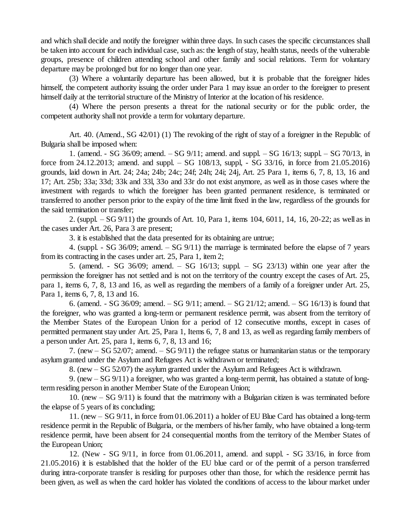and which shall decide and notify the foreigner within three days. In such cases the specific circumstances shall be taken into account for each individual case, such as: the length of stay, health status, needs of the vulnerable groups, presence of children attending school and other family and social relations. Term for voluntary departure may be prolonged but for no longer than one year.

(3) Where a voluntarily departure has been allowed, but it is probable that the foreigner hides himself, the competent authority issuing the order under Para 1 may issue an order to the foreigner to present himself daily at the territorial structure of the Ministry of Interior at the location of his residence.

(4) Where the person presents a threat for the national security or for the public order, the competent authority shall not provide a term for voluntary departure.

Art. 40. (Amend., SG 42/01) (1) The revoking of the right of stay of a foreigner in the Republic of Bulgaria shall be imposed when:

1. (amend. - SG 36/09; amend. –SG 9/11; amend. and suppl. –SG 16/13; suppl. –SG 70/13, in force from 24.12.2013; amend. and suppl. – SG 108/13, suppl, - SG 33/16, in force from 21.05.2016) grounds, laid down in Art. 24; 24a; 24b; 24c; 24f; 24h; 24i; 24j, Art. 25 Para 1, items 6, 7, 8, 13, 16 and 17; Art. 25b; 33a; 33d; 33k and 33l, 33o and 33r do not exist anymore, as well as in those cases where the investment with regards to which the foreigner has been granted permanent residence, is terminated or transferred to another person prior to the expiry of the time limit fixed in the law, regardless of the grounds for the said termination or transfer;

2. (suppl. –SG 9/11) the grounds of Art. 10, Para 1, items 104, 6011, 14, 16, 20-22; as well as in the cases under Art. 26, Para 3 are present;

3. it is established that the data presented for its obtaining are untrue;

4. (suppl.  $\sim$  SG 36/09; amend.  $\sim$  SG 9/11) the marriage is terminated before the elapse of 7 years from its contracting in the cases under art. 25, Para 1, item 2;

5. (amend. - SG 36/09; amend.  $-$  SG 16/13; suppl.  $-$  SG 23/13) within one year after the permission the foreigner has not settled and is not on the territory of the country except the cases of Art. 25, para 1, items 6, 7, 8, 13 and 16, as well as regarding the members of a family of a foreigner under Art. 25, Para 1, items 6, 7, 8, 13 and 16.

6. (amend. - SG 36/09; amend.  $-$  SG 9/11; amend.  $-$  SG 21/12; amend.  $-$  SG 16/13) is found that the foreigner, who was granted a long-term or permanent residence permit, was absent from the territory of the Member States of the European Union for a period of 12 consecutive months, except in cases of permitted permanent stay under Art. 25, Para 1, Items 6, 7, 8 and 13, as well as regarding family members of a person under Art. 25, para 1, items 6, 7, 8, 13 and 16;

7. (new  $-$  SG 52/07; amend.  $-$  SG 9/11) the refugee status or humanitarian status or the temporary asylum granted under the Asylum and Refugees Act is withdrawn or terminated;

8. (new –SG 52/07) the asylum granted under the Asylum and Refugees Act is withdrawn.

9. (new –SG 9/11) a foreigner, who was granted a long-term permit, has obtained a statute of longterm residing person in another Member State of the European Union;

10. (new  $-$  SG 9/11) is found that the matrimony with a Bulgarian citizen is was terminated before the elapse of 5 years of its concluding;

11. (new  $-$  SG 9/11, in force from 01.06.2011) a holder of EU Blue Card has obtained a long-term residence permit in the Republic of Bulgaria, or the members of his/her family, who have obtained a long-term residence permit, have been absent for 24 consequential months from the territory of the Member States of the European Union;

12. (New - SG 9/11, in force from 01.06.2011, amend. and suppl. - SG 33/16, in force from 21.05.2016) it is established that the holder of the EU blue card or of the permit of a person transferred during intra-corporate transfer is residing for purposes other than those, for which the residence permit has been given, as well as when the card holder has violated the conditions of access to the labour market under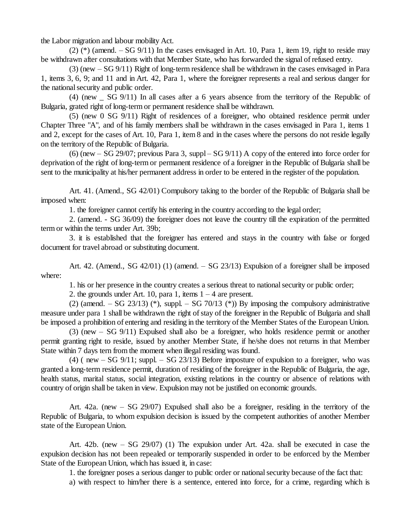the Labor migration and labour mobility Act.

 $(2)$  (\*) (amend.  $-$  SG 9/11) In the cases envisaged in Art. 10, Para 1, item 19, right to reside may be withdrawn after consultations with that Member State, who has forwarded the signal of refused entry.

 $(3)$  (new  $-$  SG 9/11) Right of long-term residence shall be withdrawn in the cases envisaged in Para 1, items 3, 6, 9; and 11 and in Art. 42, Para 1, where the foreigner represents a real and serious danger for the national security and public order.

(4) (new \_ SG 9/11) In all cases after a 6 years absence from the territory of the Republic of Bulgaria, grated right of long-term or permanent residence shall be withdrawn.

(5) (new 0 SG 9/11) Right of residences of a foreigner, who obtained residence permit under Chapter Three "A", and of his family members shall be withdrawn in the cases envisaged in Para 1, items 1 and 2, except for the cases of Art. 10, Para 1, item 8 and in the cases where the persons do not reside legally on the territory of the Republic of Bulgaria.

(6) (new  $-$  SG 29/07; previous Para 3, suppl  $-$  SG 9/11) A copy of the entered into force order for deprivation of the right of long-term or permanent residence of a foreigner in the Republic of Bulgaria shall be sent to the municipality at his/her permanent address in order to be entered in the register of the population.

Art. 41. (Amend., SG 42/01) Compulsory taking to the border of the Republic of Bulgaria shall be imposed when:

1. the foreigner cannot certify his entering in the country according to the legal order;

2. (amend. - SG 36/09) the foreigner does not leave the country till the expiration of the permitted term or within the terms under Art. 39b;

3. it is established that the foreigner has entered and stays in the country with false or forged document for travel abroad or substituting document.

Art. 42. (Amend., SG 42/01) (1) (amend.  $-$  SG 23/13) Expulsion of a foreigner shall be imposed where:

1. his or her presence in the country creates a serious threat to nationalsecurity or public order;

2. the grounds under Art. 10, para 1, items  $1 - 4$  are present.

(2) (amend. – SG 23/13) (\*), suppl. – SG 70/13 (\*)) By imposing the compulsory administrative measure under para 1 shall be withdrawn the right of stay of the foreigner in the Republic of Bulgaria and shall be imposed a prohibition of entering and residing in the territory of the Member States of the European Union.

 $(3)$  (new  $-$  SG  $9/11$ ) Expulsed shall also be a foreigner, who holds residence permit or another permit granting right to reside, issued by another Member State, if he/she does not returns in that Member State within 7 days tern from the moment when illegal residing was found.

(4) ( new  $-$  SG 9/11; suppl.  $-$  SG 23/13) Before imposture of expulsion to a foreigner, who was granted a long-term residence permit, duration of residing of the foreigner in the Republic of Bulgaria, the age, health status, marital status, social integration, existing relations in the country or absence of relations with country of origin shall be taken in view. Expulsion may not be justified on economic grounds.

Art.  $42a$ . (new  $-SG 29/07$ ) Expulsed shall also be a foreigner, residing in the territory of the Republic of Bulgaria, to whom expulsion decision is issued by the competent authorities of another Member state of the European Union.

Art. 42b. (new - SG 29/07) (1) The expulsion under Art. 42a. shall be executed in case the expulsion decision has not been repealed or temporarily suspended in order to be enforced by the Member State of the European Union, which has issued it, in case:

1. the foreigner poses a serious danger to public order or nationalsecurity because of the fact that:

a) with respect to him/her there is a sentence, entered into force, for a crime, regarding which is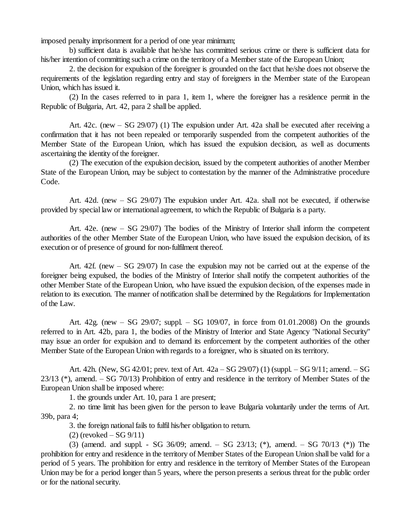imposed penalty imprisonment for a period of one year minimum;

b) sufficient data is available that he/she has committed serious crime or there is sufficient data for his/her intention of committing such a crime on the territory of a Member state of the European Union;

2. the decision for expulsion of the foreigner is grounded on the fact that he/she does not observe the requirements of the legislation regarding entry and stay of foreigners in the Member state of the European Union, which has issued it.

(2) In the cases referred to in para 1, item 1, where the foreigner has a residence permit in the Republic of Bulgaria, Art. 42, para 2 shall be applied.

Art. 42c. (new  $-$  SG 29/07) (1) The expulsion under Art. 42a shall be executed after receiving a confirmation that it has not been repealed or temporarily suspended from the competent authorities of the Member State of the European Union, which has issued the expulsion decision, as well as documents ascertaining the identity of the foreigner.

(2) The execution of the expulsion decision, issued by the competent authorities of another Member State of the European Union, may be subject to contestation by the manner of the Administrative procedure Code.

Art. 42d. (new –SG 29/07) The expulsion under Art. 42a. shall not be executed, if otherwise provided by special law or international agreement, to which the Republic of Bulgaria is a party.

Art. 42e. (new – SG 29/07) The bodies of the Ministry of Interior shall inform the competent authorities of the other Member State of the European Union, who have issued the expulsion decision, of its execution or of presence of ground for non-fulfilment thereof.

Art.  $42f$ . (new  $-$  SG 29/07) In case the expulsion may not be carried out at the expense of the foreigner being expulsed, the bodies of the Ministry of Interior shall notify the competent authorities of the other Member State of the European Union, who have issued the expulsion decision, of the expenses made in relation to its execution. The manner of notification shall be determined by the Regulations for Implementation of the Law.

Art. 42g. (new – SG 29/07; suppl. – SG 109/07, in force from 01.01.2008) On the grounds referred to in Art. 42b, para 1, the bodies of the Ministry of Interior and State Agency "National Security" may issue an order for expulsion and to demand its enforcement by the competent authorities of the other Member State of the European Union with regards to a foreigner, who is situated on its territory.

Art. 42h. (New, SG 42/01; prev. text of Art.  $42a - SG$  29/07) (1) (suppl.  $-SG$  9/11; amend.  $-SG$ 23/13 (\*), amend. – SG 70/13) Prohibition of entry and residence in the territory of Member States of the European Union shall be imposed where:

1. the grounds under Art. 10, para 1 are present;

2. no time limit has been given for the person to leave Bulgaria voluntarily under the terms of Art. 39b, para 4;

3. the foreign national fails to fulfil his/her obligation to return.

 $(2)$  (revoked  $-$  SG 9/11)

(3) (amend. and suppl. - SG 36/09; amend.  $-$  SG 23/13; (\*), amend.  $-$  SG 70/13 (\*)) The prohibition for entry and residence in the territory of Member States of the European Union shall be valid for a period of 5 years. The prohibition for entry and residence in the territory of Member States of the European Union may be for a period longer than 5 years, where the person presents a serious threat for the public order or for the national security.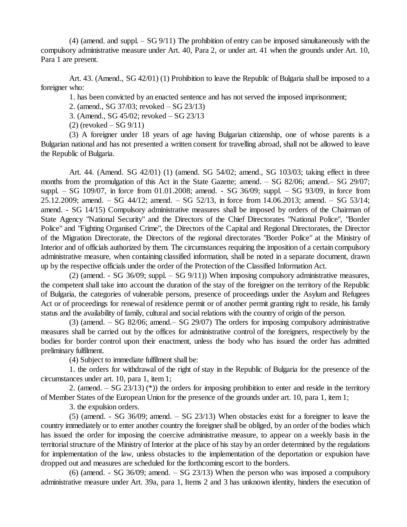(4) (amend. and suppl. –SG 9/11) The prohibition of entry can be imposed simultaneously with the compulsory administrative measure under Art. 40, Para 2, or under art. 41 when the grounds under Art. 10, Para 1 are present.

Art. 43. (Amend., SG 42/01) (1) Prohibition to leave the Republic of Bulgaria shall be imposed to a foreigner who:

1. has been convicted by an enacted sentence and has not served the imposed imprisonment;

2. (amend., SG 37/03; revoked – SG 23/13)

3. (Amend., SG 45/02; revoked – SG 23/13

 $(2)$  (revoked  $-$  SG 9/11)

(3) A foreigner under 18 years of age having Bulgarian citizenship, one of whose parents is a Bulgarian national and has not presented a written consent for travelling abroad, shall not be allowed to leave the Republic of Bulgaria.

Art. 44. (Amend. SG 42/01) (1) (amend. SG 54/02; amend., SG 103/03; taking effect in three months from the promulgation of this Act in the State Gazette; amend. – SG 82/06; amend. – SG 29/07; suppl. – SG  $109/07$ , in force from  $01.01.2008$ ; amend. - SG  $36/09$ ; suppl. – SG  $93/09$ , in force from 25.12.2009; amend. – SG  $44/12$ ; amend. – SG  $52/13$ , in force from 14.06.2013; amend. – SG  $53/14$ ; amend. - SG 14/15) Compulsory administrative measures shall be imposed by orders of the Chairman of State Agency "National Security" and the Directors of the Chief Directorates "National Police", "Border Police" and "Fighting Organised Crime", the Directors of the Capital and Regional Directorates, the Director of the Migration Directorate, the Directors of the regional directorates "Border Police" at the Ministry of Interior and of officials authorized by them. The circumstances requiring the imposition of a certain compulsory administrative measure, when containing classified information, shall be noted in a separate document, drawn up by the respective officials under the order of the Protection of the Classified Information Act.

(2) (amend. - SG 36/09; suppl.  $-$  SG 9/11)) When imposing compulsory administrative measures, the competent shall take into account the duration of the stay of the foreigner on the territory of the Republic of Bulgaria, the categories of vulnerable persons, presence of proceedings under the Asylum and Refugees Act or of proceedings for renewal of residence permit or of another permit granting right to reside, his family status and the availability of family, cultural and social relations with the country of origin of the person.

 $(3)$  (amend.  $-$  SG 82/06; amend.  $-$  SG 29/07) The orders for imposing compulsory administrative measures shall be carried out by the offices for administrative control of the foreigners, respectively by the bodies for border control upon their enactment, unless the body who has issued the order has admitted preliminary fulfilment.

(4) Subject to immediate fulfilment shall be:

1. the orders for withdrawal of the right of stay in the Republic of Bulgaria for the presence of the circumstances under art. 10, para 1, item 1;

2. (amend.  $-$  SG 23/13) (\*)) the orders for imposing prohibition to enter and reside in the territory of Member States of the European Union for the presence of the grounds under art. 10, para 1, item 1;

3. the expulsion orders.

 $(5)$  (amend. - SG 36/09; amend.  $-$  SG 23/13) When obstacles exist for a foreigner to leave the country immediately or to enter another country the foreigner shall be obliged, by an order of the bodies which has issued the order for imposing the coercive administrative measure, to appear on a weekly basis in the territorialstructure of the Ministry of Interior at the place of his stay by an order determined by the regulations for implementation of the law, unless obstacles to the implementation of the deportation or expulsion have dropped out and measures are scheduled for the forthcoming escort to the borders.

 $(6)$  (amend. - SG 36/09; amend.  $-$  SG 23/13) When the person who was imposed a compulsory administrative measure under Art. 39a, para 1, Items 2 and 3 has unknown identity, hinders the execution of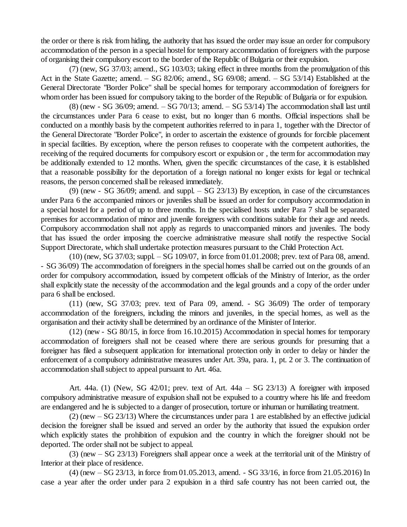the order or there is risk from hiding, the authority that has issued the order may issue an order for compulsory accommodation of the person in a special hostel for temporary accommodation of foreigners with the purpose of organising their compulsory escort to the border of the Republic of Bulgaria or their expulsion.

(7) (new, SG 37/03; amend., SG 103/03; taking effect in three months from the promulgation of this Act in the State Gazette; amend. – SG 82/06; amend., SG 69/08; amend. – SG 53/14) Established at the General Directorate "Border Police" shall be special homes for temporary accommodation of foreigners for whom order has been issued for compulsory taking to the border of the Republic of Bulgaria or for expulsion.

 $(8)$  (new - SG 36/09; amend.  $-$  SG 70/13; amend.  $-$  SG 53/14) The accommodation shall last until the circumstances under Para 6 cease to exist, but no longer than 6 months. Official inspections shall be conducted on a monthly basis by the competent authorities referred to in para 1, together with the Director of the General Directorate "Border Police", in order to ascertain the existence of grounds for forcible placement in special facilities. By exception, where the person refuses to cooperate with the competent authorities, the receiving of the required documents for compulsory escort or expulsion or , the term for accommodation may be additionally extended to 12 months. When, given the specific circumstances of the case, it is established that a reasonable possibility for the deportation of a foreign national no longer exists for legal or technical reasons, the person concerned shall be released immediately.

(9) (new - SG 36/09; amend. and suppl.  $-$  SG 23/13) By exception, in case of the circumstances under Para 6 the accompanied minors or juveniles shall be issued an order for compulsory accommodation in a special hostel for a period of up to three months. In the specialised hosts under Para 7 shall be separated premises for accommodation of minor and juvenile foreigners with conditions suitable for their age and needs. Compulsory accommodation shall not apply as regards to unaccompanied minors and juveniles. The body that has issued the order imposing the coercive administrative measure shall notify the respective Social Support Directorate, which shall undertake protection measures pursuant to the Child Protection Act.

 $(10)$  (new, SG 37/03; suppl.  $-$  SG 109/07, in force from 01.01.2008; prev. text of Para 08, amend. - SG 36/09) The accommodation of foreigners in the special homes shall be carried out on the grounds of an order for compulsory accommodation, issued by competent officials of the Ministry of Interior, as the order shall explicitly state the necessity of the accommodation and the legal grounds and a copy of the order under para 6 shall be enclosed.

(11) (new, SG 37/03; prev. text of Para 09, amend. - SG 36/09) The order of temporary accommodation of the foreigners, including the minors and juveniles, in the special homes, as well as the organisation and their activity shall be determined by an ordinance of the Minister of Interior.

(12) (new - SG 80/15, in force from 16.10.2015) Accommodation in special homes for temporary accommodation of foreigners shall not be ceased where there are serious grounds for presuming that a foreigner has filed a subsequent application for international protection only in order to delay or hinder the enforcement of a compulsory administrative measures under Art. 39a, para. 1, pt. 2 or 3. The continuation of accommodation shall subject to appeal pursuant to Art. 46a.

Art. 44a. (1) (New, SG  $42/01$ ; prev. text of Art. 44a – SG  $23/13$ ) A foreigner with imposed compulsory administrative measure of expulsion shall not be expulsed to a country where his life and freedom are endangered and he is subjected to a danger of prosecution, torture or inhuman or humiliating treatment.

 $(2)$  (new  $-$  SG 23/13) Where the circumstances under para 1 are established by an effective judicial decision the foreigner shall be issued and served an order by the authority that issued the expulsion order which explicitly states the prohibition of expulsion and the country in which the foreigner should not be deported. The order shall not be subject to appeal.

(3) (new –SG 23/13) Foreigners shall appear once a week at the territorial unit of the Ministry of Interior at their place of residence.

(4) (new –SG 23/13, in force from 01.05.2013, amend. - SG 33/16, in force from 21.05.2016) In case a year after the order under para 2 expulsion in a third safe country has not been carried out, the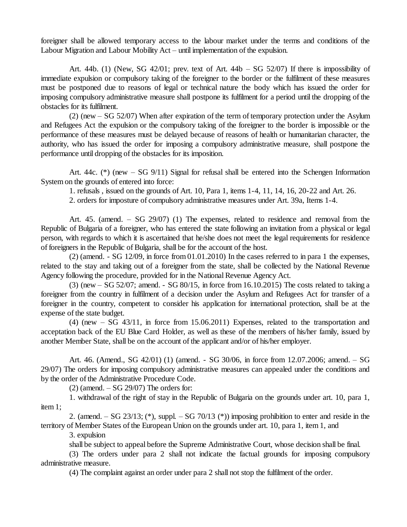foreigner shall be allowed temporary access to the labour market under the terms and conditions of the Labour Migration and Labour Mobility  $Act -$  until implementation of the expulsion.

Art. 44b. (1) (New, SG 42/01; prev. text of Art. 44b – SG 52/07) If there is impossibility of immediate expulsion or compulsory taking of the foreigner to the border or the fulfilment of these measures must be postponed due to reasons of legal or technical nature the body which has issued the order for imposing compulsory administrative measure shall postpone its fulfilment for a period until the dropping of the obstacles for its fulfilment.

 $(2)$  (new  $-$  SG 52/07) When after expiration of the term of temporary protection under the Asylum and Refugees Act the expulsion or the compulsory taking of the foreigner to the border is impossible or the performance of these measures must be delayed because of reasons of health or humanitarian character, the authority, who has issued the order for imposing a compulsory administrative measure, shall postpone the performance until dropping of the obstacles for its imposition.

Art. 44c.  $(*)$  (new  $-$  SG 9/11) Signal for refusal shall be entered into the Schengen Information System on the grounds of entered into force:

1. refusals , issued on the grounds of Art. 10, Para 1, items 1-4, 11, 14, 16, 20-22 and Art. 26.

2. orders for imposture of compulsory administrative measures under Art. 39a, Items 1-4.

Art. 45. (amend.  $-$  SG 29/07) (1) The expenses, related to residence and removal from the Republic of Bulgaria of a foreigner, who has entered the state following an invitation from a physical or legal person, with regards to which it is ascertained that he/she does not meet the legal requirements for residence of foreigners in the Republic of Bulgaria, shall be for the account of the host.

 $(2)$  (amend. - SG 12/09, in force from  $(0.01.2010)$  In the cases referred to in para 1 the expenses, related to the stay and taking out of a foreigner from the state, shall be collected by the National Revenue Agency following the procedure, provided for in the NationalRevenue Agency Act.

(3) (new  $-$  SG 52/07; amend.  $-$  SG 80/15, in force from 16.10.2015) The costs related to taking a foreigner from the country in fulfilment of a decision under the Asylum and Refugees Act for transfer of a foreigner in the country, competent to consider his application for international protection, shall be at the expense of the state budget.

 $(4)$  (new  $-$  SG 43/11, in force from 15.06.2011) Expenses, related to the transportation and acceptation back of the EU Blue Card Holder, as well as these of the members of his/her family, issued by another Member State, shall be on the account of the applicant and/or of his/her employer.

Art. 46. (Amend., SG 42/01) (1) (amend. - SG 30/06, in force from 12.07.2006; amend. – SG 29/07) The orders for imposing compulsory administrative measures can appealed under the conditions and by the order of the Administrative Procedure Code.

 $(2)$  (amend.  $-$  SG 29/07) The orders for:

1. withdrawal of the right of stay in the Republic of Bulgaria on the grounds under art. 10, para 1, item 1;

2. (amend. – SG 23/13; (\*), suppl. – SG 70/13 (\*)) imposing prohibition to enter and reside in the territory of Member States of the European Union on the grounds under art. 10, para 1, item 1, and

3. expulsion

shall be subject to appeal before the Supreme Administrative Court, whose decision shall be final.

(3) The orders under para 2 shall not indicate the factual grounds for imposing compulsory administrative measure.

(4) The complaint against an order under para 2 shall not stop the fulfilment of the order.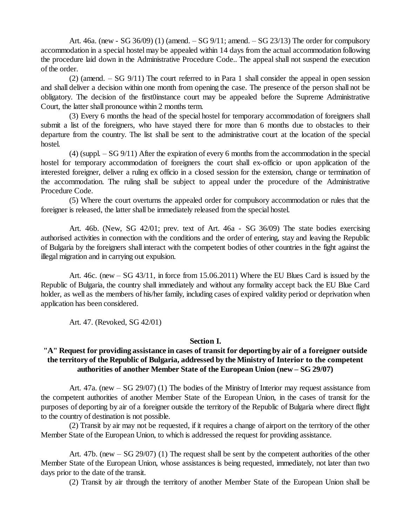Art. 46a. (new - SG 36/09) (1) (amend.  $-$  SG 9/11; amend.  $-$  SG 23/13) The order for compulsory accommodation in a special hostel may be appealed within 14 days from the actual accommodation following the procedure laid down in the Administrative Procedure Code.. The appeal shall not suspend the execution of the order.

(2) (amend.  $-SG(9/11)$  The court referred to in Para 1 shall consider the appeal in open session and shall deliver a decision within one month from opening the case. The presence of the person shall not be obligatory. The decision of the first0instance court may be appealed before the Supreme Administrative Court, the latter shall pronounce within 2 months term.

(3) Every 6 months the head of the special hostel for temporary accommodation of foreigners shall submit a list of the foreigners, who have stayed there for more than 6 months due to obstacles to their departure from the country. The list shall be sent to the administrative court at the location of the special hostel.

(4) (suppl.  $-SG$  9/11) After the expiration of every 6 months from the accommodation in the special hostel for temporary accommodation of foreigners the court shall ex-officio or upon application of the interested foreigner, deliver a ruling ex officio in a closed session for the extension, change or termination of the accommodation. The ruling shall be subject to appeal under the procedure of the Administrative Procedure Code.

(5) Where the court overturns the appealed order for compulsory accommodation or rules that the foreigner is released, the latter shall be immediately released from the special hostel.

Art. 46b. (New, SG 42/01; prev. text of Art. 46a - SG 36/09) The state bodies exercising authorised activities in connection with the conditions and the order of entering, stay and leaving the Republic of Bulgaria by the foreigners shall interact with the competent bodies of other countries in the fight against the illegal migration and in carrying out expulsion.

Art. 46c. (new  $-$  SG 43/11, in force from 15.06.2011) Where the EU Blues Card is issued by the Republic of Bulgaria, the country shall immediately and without any formality accept back the EU Blue Card holder, as well as the members of his/her family, including cases of expired validity period or deprivation when application has been considered.

Art. 47. (Revoked, SG 42/01)

#### **Section I.**

## **"A" Request for providing assistance in cases of transit for deporting by air of a foreigner outside the territory of the Republic of Bulgaria, addressed by the Ministry of Interior to the competent authorities of another Member State of the European Union (new –SG 29/07)**

Art. 47a. (new  $-$  SG 29/07) (1) The bodies of the Ministry of Interior may request assistance from the competent authorities of another Member State of the European Union, in the cases of transit for the purposes of deporting by air of a foreigner outside the territory of the Republic of Bulgaria where direct flight to the country of destination is not possible.

(2) Transit by air may not be requested, if it requires a change of airport on the territory of the other Member State of the European Union, to which is addressed the request for providing assistance.

Art. 47b. (new  $-$  SG 29/07) (1) The request shall be sent by the competent authorities of the other Member State of the European Union, whose assistances is being requested, immediately, not later than two days prior to the date of the transit.

(2) Transit by air through the territory of another Member State of the European Union shall be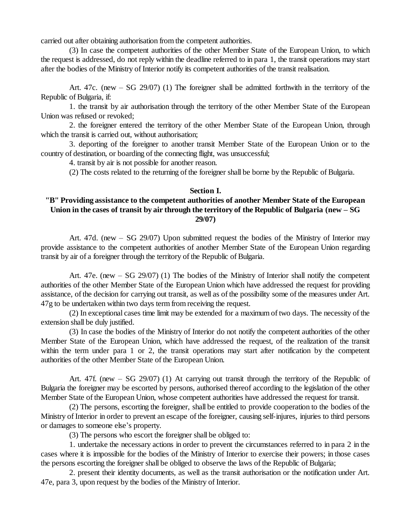carried out after obtaining authorisation from the competent authorities.

(3) In case the competent authorities of the other Member State of the European Union, to which the request is addressed, do not reply within the deadline referred to in para 1, the transit operations may start after the bodies of the Ministry of Interior notify its competent authorities of the transit realisation.

Art. 47c. (new  $-$  SG 29/07) (1) The foreigner shall be admitted forthwith in the territory of the Republic of Bulgaria, if:

1. the transit by air authorisation through the territory of the other Member State of the European Union was refused or revoked;

2. the foreigner entered the territory of the other Member State of the European Union, through which the transit is carried out, without authorisation;

3. deporting of the foreigner to another transit Member State of the European Union or to the country of destination, or boarding of the connecting flight, was unsuccessful;

4. transit by air is not possible for another reason.

(2) The costs related to the returning of the foreigner shall be borne by the Republic of Bulgaria.

#### **Section I.**

### **"B" Providing assistance to the competent authorities of another Member State of the European** Union in the cases of transit by air through the territory of the Republic of Bulgaria (new  $-SG$ **29/07)**

Art. 47d. (new – SG 29/07) Upon submitted request the bodies of the Ministry of Interior may provide assistance to the competent authorities of another Member State of the European Union regarding transit by air of a foreigner through the territory of the Republic of Bulgaria.

Art. 47e. (new  $-$  SG 29/07) (1) The bodies of the Ministry of Interior shall notify the competent authorities of the other Member State of the European Union which have addressed the request for providing assistance, of the decision for carrying out transit, as well as of the possibility some of the measures under Art. 47g to be undertaken within two days term from receiving the request.

(2) In exceptional cases time limit may be extended for a maximum of two days. The necessity of the extension shall be duly justified.

(3) In case the bodies of the Ministry of Interior do not notify the competent authorities of the other Member State of the European Union, which have addressed the request, of the realization of the transit within the term under para 1 or 2, the transit operations may start after notification by the competent authorities of the other Member State of the European Union.

Art. 47f. (new  $-$  SG 29/07) (1) At carrying out transit through the territory of the Republic of Bulgaria the foreigner may be escorted by persons, authorised thereof according to the legislation of the other Member State of the European Union, whose competent authorities have addressed the request for transit.

(2) The persons, escorting the foreigner, shall be entitled to provide cooperation to the bodies of the Ministry of Interior in order to prevent an escape of the foreigner, causing self-injures, injuries to third persons or damages to someone else's property.

(3) The persons who escort the foreigner shall be obliged to:

1. undertake the necessary actions in order to prevent the circumstances referred to in para 2 in the cases where it is impossible for the bodies of the Ministry of Interior to exercise their powers; in those cases the persons escorting the foreigner shall be obliged to observe the laws of the Republic of Bulgaria;

2. present their identity documents, as well as the transit authorisation or the notification under Art. 47e, para 3, upon request by the bodies of the Ministry of Interior.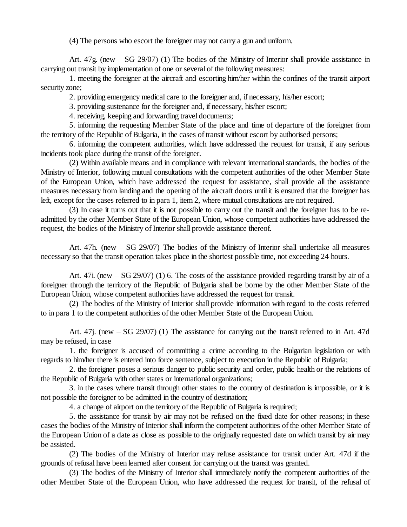(4) The persons who escort the foreigner may not carry a gun and uniform.

Art.  $47g$ . (new  $-$  SG 29/07) (1) The bodies of the Ministry of Interior shall provide assistance in carrying out transit by implementation of one or several of the following measures:

1. meeting the foreigner at the aircraft and escorting him/her within the confines of the transit airport security zone;

2. providing emergency medical care to the foreigner and, if necessary, his/her escort;

3. providing sustenance for the foreigner and, if necessary, his/her escort;

4. receiving, keeping and forwarding travel documents;

5. informing the requesting Member State of the place and time of departure of the foreigner from the territory of the Republic of Bulgaria, in the cases of transit without escort by authorised persons;

6. informing the competent authorities, which have addressed the request for transit, if any serious incidents took place during the transit of the foreigner.

(2) Within available means and in compliance with relevant internationalstandards, the bodies of the Ministry of Interior, following mutual consultations with the competent authorities of the other Member State of the European Union, which have addressed the request for assistance, shall provide all the assistance measures necessary from landing and the opening of the aircraft doors until it is ensured that the foreigner has left, except for the cases referred to in para 1, item 2, where mutual consultations are not required.

(3) In case it turns out that it is not possible to carry out the transit and the foreigner has to be readmitted by the other Member State of the European Union, whose competent authorities have addressed the request, the bodies of the Ministry of Interior shall provide assistance thereof.

Art. 47h. (new – SG 29/07) The bodies of the Ministry of Interior shall undertake all measures necessary so that the transit operation takes place in the shortest possible time, not exceeding 24 hours.

Art. 47i. (new – SG 29/07) (1) 6. The costs of the assistance provided regarding transit by air of a foreigner through the territory of the Republic of Bulgaria shall be borne by the other Member State of the European Union, whose competent authorities have addressed the request for transit.

(2) The bodies of the Ministry of Interior shall provide information with regard to the costs referred to in para 1 to the competent authorities of the other Member State of the European Union.

Art. 47j. (new  $-$  SG 29/07) (1) The assistance for carrying out the transit referred to in Art. 47d may be refused, in case

1. the foreigner is accused of committing a crime according to the Bulgarian legislation or with regards to him/her there is entered into force sentence, subject to execution in the Republic of Bulgaria;

2. the foreigner poses a serious danger to public security and order, public health or the relations of the Republic of Bulgaria with other states or international organizations;

3. in the cases where transit through other states to the country of destination is impossible, or it is not possible the foreigner to be admitted in the country of destination;

4. a change of airport on the territory of the Republic of Bulgaria is required;

5. the assistance for transit by air may not be refused on the fixed date for other reasons; in these cases the bodies of the Ministry of Interior shall inform the competent authorities of the other Member State of the European Union of a date as close as possible to the originally requested date on which transit by air may be assisted.

(2) The bodies of the Ministry of Interior may refuse assistance for transit under Art. 47d if the grounds of refusal have been learned after consent for carrying out the transit was granted.

(3) The bodies of the Ministry of Interior shall immediately notify the competent authorities of the other Member State of the European Union, who have addressed the request for transit, of the refusal of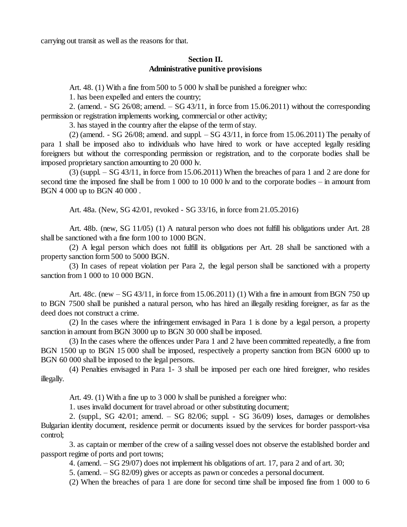carrying out transit as well as the reasons for that.

#### **Section II. Administrative punitive provisions**

Art. 48. (1) With a fine from 500 to 5 000 lv shall be punished a foreigner who:

1. has been expelled and enters the country;

2. (amend. - SG  $26/08$ ; amend.  $-$  SG  $43/11$ , in force from 15.06.2011) without the corresponding permission or registration implements working, commercial or other activity;

3. has stayed in the country after the elapse of the term of stay.

 $(2)$  (amend. - SG 26/08; amend. and suppl.  $-SG$  43/11, in force from 15.06.2011) The penalty of para 1 shall be imposed also to individuals who have hired to work or have accepted legally residing foreigners but without the corresponding permission or registration, and to the corporate bodies shall be imposed proprietary sanction amounting to 20 000 lv.

 $(3)$  (suppl.  $-$  SG 43/11, in force from 15.06.2011) When the breaches of para 1 and 2 are done for second time the imposed fine shall be from 1 000 to 10 000 lv and to the corporate bodies – in amount from BGN 4 000 up to BGN 40 000 .

Art. 48a. (New, SG 42/01, revoked - SG 33/16, in force from 21.05.2016)

Art. 48b. (new, SG 11/05) (1) A natural person who does not fulfill his obligations under Art. 28 shall be sanctioned with a fine form 100 to 1000 BGN.

(2) A legal person which does not fulfill its obligations per Art. 28 shall be sanctioned with a property sanction form 500 to 5000 BGN.

(3) In cases of repeat violation per Para 2, the legal person shall be sanctioned with a property sanction from 1 000 to 10 000 BGN.

Art.  $48c.$  (new  $-SG\,43/11$ , in force from  $15.06.2011$ ) (1) With a fine in amount from BGN 750 up to BGN 7500 shall be punished a natural person, who has hired an illegally residing foreigner, as far as the deed does not construct a crime.

(2) In the cases where the infringement envisaged in Para 1 is done by a legal person, a property sanction in amount from BGN 3000 up to BGN 30 000 shall be imposed.

(3) In the cases where the offences under Para 1 and 2 have been committed repeatedly, a fine from BGN 1500 up to BGN 15 000 shall be imposed, respectively a property sanction from BGN 6000 up to BGN 60 000 shall be imposed to the legal persons.

(4) Penalties envisaged in Para 1- 3 shall be imposed per each one hired foreigner, who resides illegally.

Art. 49. (1) With a fine up to 3 000 lv shall be punished a foreigner who:

1. uses invalid document for travel abroad or other substituting document;

2. (suppl., SG  $42/01$ ; amend.  $-$  SG  $82/06$ ; suppl.  $-$  SG  $36/09$ ) loses, damages or demolishes Bulgarian identity document, residence permit or documents issued by the services for border passport-visa control;

3. as captain or member of the crew of a sailing vessel does not observe the established border and passport regime of ports and port towns;

4. (amend. –SG 29/07) does not implement his obligations of art. 17, para 2 and of art. 30;

5. (amend. –SG 82/09) gives or accepts as pawn or concedes a personal document.

(2) When the breaches of para 1 are done for second time shall be imposed fine from 1 000 to 6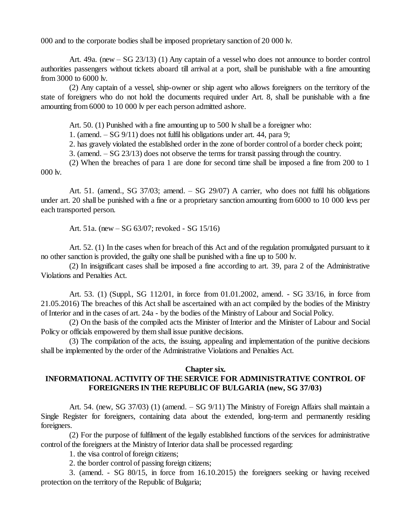000 and to the corporate bodies shall be imposed proprietary sanction of 20 000 lv.

Art. 49a. (new – SG 23/13) (1) Any captain of a vessel who does not announce to border control authorities passengers without tickets aboard till arrival at a port, shall be punishable with a fine amounting from 3000 to 6000 lv.

(2) Any captain of a vessel, ship-owner or ship agent who allows foreigners on the territory of the state of foreigners who do not hold the documents required under Art. 8, shall be punishable with a fine amounting from 6000 to 10 000 lv per each person admitted ashore.

Art. 50. (1) Punished with a fine amounting up to 500 lv shall be a foreigner who:

1. (amend. –SG 9/11) does not fulfil his obligations under art. 44, para 9;

2. has gravely violated the established order in the zone of border control of a border check point;

3. (amend. –SG 23/13) does not observe the terms for transit passing through the country.

(2) When the breaches of para 1 are done for second time shall be imposed a fine from 200 to 1 000 lv.

Art. 51. (amend., SG  $37/03$ ; amend.  $-$  SG  $29/07$ ) A carrier, who does not fulfil his obligations under art. 20 shall be punished with a fine or a proprietary sanction amounting from 6000 to 10 000 levs per each transported person.

Art. 51a. (new –SG 63/07; revoked - SG 15/16)

Art. 52. (1) In the cases when for breach of this Act and of the regulation promulgated pursuant to it no other sanction is provided, the guilty one shall be punished with a fine up to 500 lv.

(2) In insignificant cases shall be imposed a fine according to art. 39, para 2 of the Administrative Violations and Penalties Act.

Art. 53. (1) (Suppl., SG 112/01, in force from 01.01.2002, amend. - SG 33/16, in force from 21.05.2016) The breaches of this Act shall be ascertained with an act compiled by the bodies of the Ministry of Interior and in the cases of art. 24a - by the bodies of the Ministry of Labour and Social Policy.

(2) On the basis of the compiled acts the Minister of Interior and the Minister of Labour and Social Policy or officials empowered by them shall issue punitive decisions.

(3) The compilation of the acts, the issuing, appealing and implementation of the punitive decisions shall be implemented by the order of the Administrative Violations and Penalties Act.

#### **Chapter six.**

# **INFORMATIONAL ACTIVITY OF THE SERVICE FOR ADMINISTRATIVE CONTROL OF FOREIGNERS IN THE REPUBLIC OF BULGARIA (new, SG 37/03)**

Art. 54. (new, SG 37/03) (1) (amend.  $-$  SG 9/11) The Ministry of Foreign Affairs shall maintain a Single Register for foreigners, containing data about the extended, long-term and permanently residing foreigners.

(2) For the purpose of fulfilment of the legally established functions of the services for administrative control of the foreigners at the Ministry of Interior data shall be processed regarding:

1. the visa control of foreign citizens;

2. the border control of passing foreign citizens;

3. (amend. - SG 80/15, in force from 16.10.2015) the foreigners seeking or having received protection on the territory of the Republic of Bulgaria;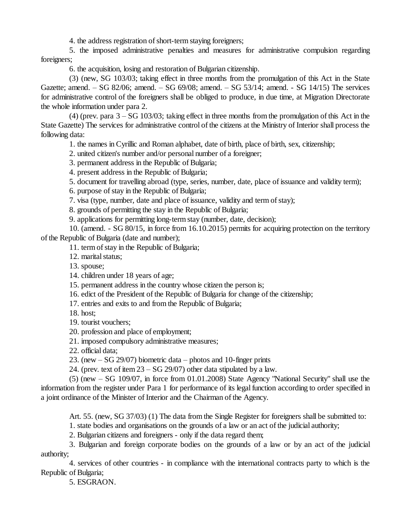4. the address registration of short-term staying foreigners;

5. the imposed administrative penalties and measures for administrative compulsion regarding foreigners;

6. the acquisition, losing and restoration of Bulgarian citizenship.

(3) (new, SG 103/03; taking effect in three months from the promulgation of this Act in the State Gazette; amend.  $-$  SG 82/06; amend.  $-$  SG 69/08; amend.  $-$  SG 53/14; amend.  $-$  SG 14/15) The services for administrative control of the foreigners shall be obliged to produce, in due time, at Migration Directorate the whole information under para 2.

 $(4)$  (prev. para  $3 - SG$  103/03; taking effect in three months from the promulgation of this Act in the State Gazette) The services for administrative control of the citizens at the Ministry of Interior shall process the following data:

1. the names in Cyrillic and Roman alphabet, date of birth, place of birth, sex, citizenship;

- 2. united citizen's number and/or personal number of a foreigner;
- 3. permanent address in the Republic of Bulgaria;
- 4. present address in the Republic of Bulgaria;
- 5. document for travelling abroad (type, series, number, date, place of issuance and validity term);
- 6. purpose of stay in the Republic of Bulgaria;
- 7. visa (type, number, date and place of issuance, validity and term of stay);

8. grounds of permitting the stay in the Republic of Bulgaria;

9. applications for permitting long-term stay (number, date, decision);

10. (amend. - SG 80/15, in force from 16.10.2015) permits for acquiring protection on the territory of the Republic of Bulgaria (date and number);

11. term of stay in the Republic of Bulgaria;

12. marital status;

13. spouse;

- 14. children under 18 years of age;
- 15. permanent address in the country whose citizen the person is;
- 16. edict of the President of the Republic of Bulgaria for change of the citizenship;
- 17. entries and exits to and from the Republic of Bulgaria;
- 18. host;
- 19. tourist vouchers;
- 20. profession and place of employment;
- 21. imposed compulsory administrative measures;
- 22. official data;
- 23. (new  $-$  SG 29/07) biometric data photos and 10-finger prints
- 24. (prev. text of item  $23 SG$  29/07) other data stipulated by a law.

 $(5)$  (new  $-$  SG 109/07, in force from 01.01.2008) State Agency "National Security" shall use the information from the register under Para 1 for performance of its legal function according to order specified in a joint ordinance of the Minister of Interior and the Chairman of the Agency.

Art. 55. (new, SG 37/03) (1) The data from the Single Register for foreigners shall be submitted to:

1. state bodies and organisations on the grounds of a law or an act of the judicial authority;

2. Bulgarian citizens and foreigners - only if the data regard them;

3. Bulgarian and foreign corporate bodies on the grounds of a law or by an act of the judicial authority;

4. services of other countries - in compliance with the international contracts party to which is the Republic of Bulgaria;

5. ESGRAON.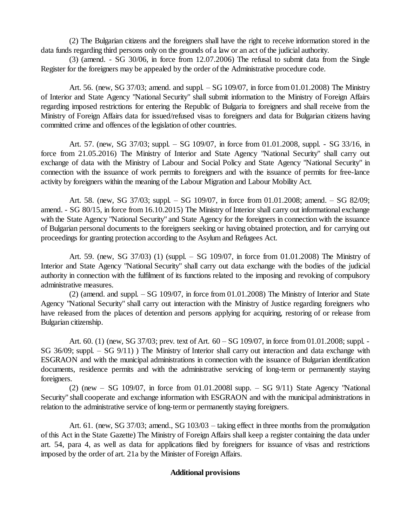(2) The Bulgarian citizens and the foreigners shall have the right to receive information stored in the data funds regarding third persons only on the grounds of a law or an act of the judicial authority.

(3) (amend. - SG 30/06, in force from 12.07.2006) The refusal to submit data from the Single Register for the foreigners may be appealed by the order of the Administrative procedure code.

Art. 56. (new, SG 37/03; amend. and suppl. – SG 109/07, in force from 01.01.2008) The Ministry of Interior and State Agency "National Security" shall submit information to the Ministry of Foreign Affairs regarding imposed restrictions for entering the Republic of Bulgaria to foreigners and shall receive from the Ministry of Foreign Affairs data for issued/refused visas to foreigners and data for Bulgarian citizens having committed crime and offences of the legislation of other countries.

Art. 57. (new, SG 37/03; suppl. – SG 109/07, in force from 01.01.2008, suppl. - SG 33/16, in force from 21.05.2016) The Ministry of Interior and State Agency "National Security" shall carry out exchange of data with the Ministry of Labour and Social Policy and State Agency "National Security" in connection with the issuance of work permits to foreigners and with the issuance of permits for free-lance activity by foreigners within the meaning of the Labour Migration and Labour Mobility Act.

Art. 58. (new, SG 37/03; suppl. – SG 109/07, in force from 01.01.2008; amend. – SG 82/09; amend. - SG 80/15, in force from 16.10.2015) The Ministry of Interior shall carry out informational exchange with the State Agency "National Security" and State Agency for the foreigners in connection with the issuance of Bulgarian personal documents to the foreigners seeking or having obtained protection, and for carrying out proceedings for granting protection according to the Asylum and Refugees Act.

Art. 59. (new, SG 37/03) (1) (suppl. – SG 109/07, in force from 01.01.2008) The Ministry of Interior and State Agency "National Security" shall carry out data exchange with the bodies of the judicial authority in connection with the fulfilment of its functions related to the imposing and revoking of compulsory administrative measures.

(2) (amend. and suppl. –SG 109/07, in force from 01.01.2008) The Ministry of Interior and State Agency "National Security" shall carry out interaction with the Ministry of Justice regarding foreigners who have released from the places of detention and persons applying for acquiring, restoring of or release from Bulgarian citizenship.

Art. 60. (1) (new, SG 37/03; prev. text of Art.  $60 - SG$  109/07, in force from 01.01.2008; suppl. SG 36/09; suppl. – SG 9/11) The Ministry of Interior shall carry out interaction and data exchange with ESGRAON and with the municipal administrations in connection with the issuance of Bulgarian identification documents, residence permits and with the administrative servicing of long-term or permanently staying foreigners.

 $(2)$  (new – SG 109/07, in force from 01.01.2008l supp. – SG 9/11) State Agency "National Security" shall cooperate and exchange information with ESGRAON and with the municipal administrations in relation to the administrative service of long-term or permanently staying foreigners.

Art. 61. (new, SG 37/03; amend., SG 103/03 – taking effect in three months from the promulgation of this Act in the State Gazette) The Ministry of Foreign Affairs shall keep a register containing the data under art. 54, para 4, as well as data for applications filed by foreigners for issuance of visas and restrictions imposed by the order of art. 21a by the Minister of Foreign Affairs.

#### **Additional provisions**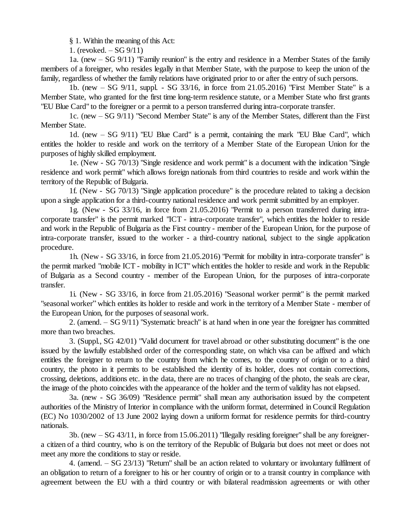§ 1. Within the meaning of this Act:

1. (revoked.  $-SG(9/11)$ )

1a. (new –SG 9/11) "Family reunion" is the entry and residence in a Member States of the family members of a foreigner, who resides legally in that Member State, with the purpose to keep the union of the family, regardless of whether the family relations have originated prior to or after the entry of such persons.

1b. (new –SG 9/11, suppl. - SG 33/16, in force from 21.05.2016) "First Member State" is a Member State, who granted for the first time long-term residence statute, or a Member State who first grants "EU Blue Card" to the foreigner or a permit to a person transferred during intra-corporate transfer.

1c. (new –SG 9/11) "Second Member State" is any of the Member States, different than the First Member State.

1d. (new  $-$  SG 9/11) "EU Blue Card" is a permit, containing the mark "EU Blue Card", which entitles the holder to reside and work on the territory of a Member State of the European Union for the purposes of highly skilled employment.

1e. (New - SG 70/13) "Single residence and work permit" is a document with the indication "Single residence and work permit" which allows foreign nationals from third countries to reside and work within the territory of the Republic of Bulgaria.

1f. (New - SG 70/13) "Single application procedure" is the procedure related to taking a decision upon a single application for a third-country nationalresidence and work permit submitted by an employer.

1g. (New - SG 33/16, in force from 21.05.2016) "Permit to a person transferred during intracorporate transfer" is the permit marked "ICT - intra-corporate transfer", which entitles the holder to reside and work in the Republic of Bulgaria as the First country - member of the European Union, for the purpose of intra-corporate transfer, issued to the worker - a third-country national, subject to the single application procedure.

1h. (New - SG 33/16, in force from 21.05.2016) "Permit for mobility in intra-corporate transfer" is the permit marked "mobile ICT - mobility in ICT" which entitles the holder to reside and work in the Republic of Bulgaria as a Second country - member of the European Union, for the purposes of intra-corporate transfer.

1i. (New - SG 33/16, in force from 21.05.2016) "Seasonal worker permit" is the permit marked "seasonal worker" which entitles its holder to reside and work in the territory of a Member State - member of the European Union, for the purposes of seasonal work.

2. (amend. – SG 9/11) "Systematic breach" is at hand when in one year the foreigner has committed more than two breaches.

3. (Suppl., SG 42/01) "Valid document for travel abroad or other substituting document" is the one issued by the lawfully established order of the corresponding state, on which visa can be affixed and which entitles the foreigner to return to the country from which he comes, to the country of origin or to a third country, the photo in it permits to be established the identity of its holder, does not contain corrections, crossing, deletions, additions etc. in the data, there are no traces of changing of the photo, the seals are clear, the image of the photo coincides with the appearance of the holder and the term of validity has not elapsed.

3a. (new - SG 36/09) "Residence permit" shall mean any authorisation issued by the competent authorities of the Ministry of Interior in compliance with the uniform format, determined in Council Regulation (EC) No 1030/2002 of 13 June 2002 laying down a uniform format for residence permits for third-country nationals.

3b. (new –SG 43/11, in force from 15.06.2011) "Illegally residing foreigner" shall be any foreignera citizen of a third country, who is on the territory of the Republic of Bulgaria but does not meet or does not meet any more the conditions to stay or reside.

4. (amend. –SG 23/13) "Return" shall be an action related to voluntary or involuntary fulfilment of an obligation to return of a foreigner to his or her country of origin or to a transit country in compliance with agreement between the EU with a third country or with bilateral readmission agreements or with other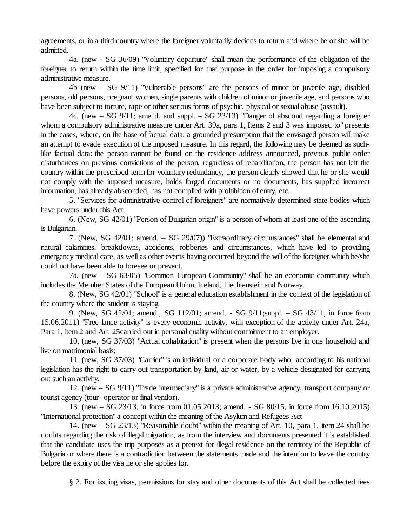agreements, or in a third country where the foreigner voluntarily decides to return and where he or she will be admitted.

4a. (new - SG 36/09) "Voluntary departure" shall mean the performance of the obligation of the foreigner to return within the time limit, specified for that purpose in the order for imposing a compulsory administrative measure.

4b (new –SG 9/11) "Vulnerable persons" are the persons of minor or juvenile age, disabled persons, old persons, pregnant women, single parents with children of minor or juvenile age, and persons who have been subject to torture, rape or other serious forms of psychic, physical or sexual abuse (assault).

4c. (new  $-$  SG 9/11; amend. and suppl.  $-$  SG 23/13) "Danger of abscond regarding a foreigner whom a compulsory administrative measure under Art. 39a, para 1, Items 2 and 3 was imposed to" presents in the cases, where, on the base of factual data, a grounded presumption that the envisaged person will make an attempt to evade execution of the imposed measure. In this regard, the following may be deemed as suchlike factual data: the person cannot be found on the residence address announced, previous public order disturbances on previous convictions of the person, regardless of rehabilitation, the person has not left the country within the prescribed term for voluntary redundancy, the person clearly showed that he or she would not comply with the imposed measure, holds forged documents or no documents, has supplied incorrect information, has already absconded, has not complied with prohibition of entry, etc.

5. "Services for administrative control of foreigners" are normatively determined state bodies which have powers under this Act.

6. (New, SG 42/01) "Person of Bulgarian origin" is a person of whom at least one of the ascending is Bulgarian.

7. (New, SG 42/01; amend. – SG 29/07)) "Extraordinary circumstances" shall be elemental and natural calamities, breakdowns, accidents, robberies and circumstances, which have led to providing emergency medical care, as well as other events having occurred beyond the will of the foreigner which he/she could not have been able to foresee or prevent.

7a. (new –SG 63/05) "Common European Community" shall be an economic community which includes the Member States of the European Union, Iceland, Liechtenstein and Norway.

8. (New, SG 42/01) "School" is a general education establishment in the context of the legislation of the country where the student is staying.

9. (New, SG 42/01; amend., SG 112/01; amend. - SG 9/11;suppl. – SG 43/11, in force from 15.06.2011) "Free-lance activity" is every economic activity, with exception of the activity under Art. 24a, Para 1, item 2 and Art. 25carried out in personal quality without commitment to an employer.

10. (new, SG 37/03) "Actual cohabitation" is present when the persons live in one household and live on matrimonial basis;

11. (new, SG 37/03) "Carrier" is an individual or a corporate body who, according to his national legislation has the right to carry out transportation by land, air or water, by a vehicle designated for carrying out such an activity.

12. (new –SG 9/11) "Trade intermediary" is a private administrative agency, transport company or tourist agency (tour- operator or final vendor).

13. (new –SG 23/13, in force from 01.05.2013; amend. - SG 80/15, in force from 16.10.2015) "International protection" a concept within the meaning of the Asylum and Refugees Act

14. (new –SG 23/13) "Reasonable doubt" within the meaning of Art. 10, para 1, item 24 shall be doubts regarding the risk of illegal migration, as from the interview and documents presented it is established that the candidate uses the trip purposes as a pretext for illegal residence on the territory of the Republic of Bulgaria or where there is a contradiction between the statements made and the intention to leave the country before the expiry of the visa he or she applies for.

§ 2. For issuing visas, permissions for stay and other documents of this Act shall be collected fees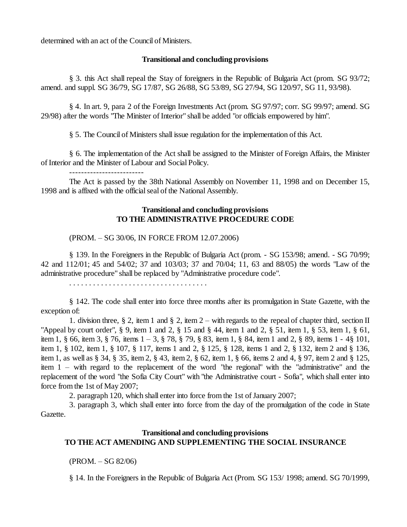determined with an act of the Council of Ministers.

#### **Transitional and concluding provisions**

§ 3. this Act shall repeal the Stay of foreigners in the Republic of Bulgaria Act (prom. SG 93/72; amend. and suppl. SG 36/79, SG 17/87, SG 26/88, SG 53/89, SG 27/94, SG 120/97, SG 11, 93/98).

§ 4. In art. 9, para 2 of the Foreign Investments Act (prom. SG 97/97; corr. SG 99/97; amend. SG 29/98) after the words "The Minister of Interior" shall be added "or officials empowered by him".

§ 5. The Council of Ministers shall issue regulation for the implementation of this Act.

§ 6. The implementation of the Act shall be assigned to the Minister of Foreign Affairs, the Minister of Interior and the Minister of Labour and Social Policy.

-------------------------

The Act is passed by the 38th National Assembly on November 11, 1998 and on December 15, 1998 and is affixed with the official seal of the National Assembly.

## **Transitional and concluding provisions TO THE ADMINISTRATIVE PROCEDURE CODE**

#### (PROM. –SG 30/06, IN FORCE FROM 12.07.2006)

§ 139. In the Foreigners in the Republic of Bulgaria Act (prom. - SG 153/98; amend. - SG 70/99; 42 and 112/01; 45 and 54/02; 37 and 103/03; 37 and 70/04; 11, 63 and 88/05) the words "Law of the administrative procedure" shall be replaced by "Administrative procedure code".

. . . . . . . . . . . . . . . . . . . . . . . . . . . . . . . . . . .

§ 142. The code shall enter into force three months after its promulgation in State Gazette, with the exception of:

1. division three, § 2, item 1 and § 2, item  $2 -$  with regards to the repeal of chapter third, section II "Appeal by court order", § 9, item 1 and 2, § 15 and § 44, item 1 and 2, § 51, item 1, § 53, item 1, § 61, item 1, § 66, item 3, § 76, items 1 –3, § 78, § 79, § 83, item 1, § 84, item 1 and 2, § 89, items 1 - 4§ 101, item 1, § 102, item 1, § 107, § 117, items 1 and 2, § 125, § 128, items 1 and 2, § 132, item 2 and § 136, item 1, as well as § 34, § 35, item 2, § 43, item 2, § 62, item 1, § 66, items 2 and 4, § 97, item 2 and § 125, item 1 –with regard to the replacement of the word "the regional" with the "administrative" and the replacement of the word "the Sofia City Court" with "the Administrative court - Sofia", which shall enter into force from the 1st of May 2007;

2. paragraph 120, which shall enter into force from the 1st of January 2007;

3. paragraph 3, which shall enter into force from the day of the promulgation of the code in State Gazette.

## **Transitional and concluding provisions TO THE ACT AMENDING AND SUPPLEMENTING THE SOCIAL INSURANCE**

 $(PROM. - SG 82/06)$ 

§ 14. In the Foreigners in the Republic of Bulgaria Act (Prom. SG 153/ 1998; amend. SG 70/1999,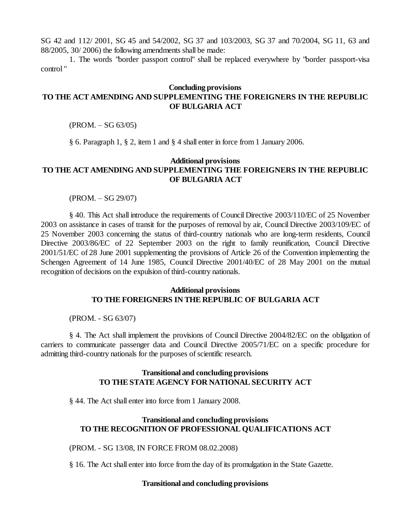SG 42 and 112/ 2001, SG 45 and 54/2002, SG 37 and 103/2003, SG 37 and 70/2004, SG 11, 63 and 88/2005, 30/ 2006) the following amendments shall be made:

1. The words "border passport control" shall be replaced everywhere by "border passport-visa control "

## **Concluding provisions TO THE ACT AMENDING AND SUPPLEMENTING THE FOREIGNERS IN THE REPUBLIC OF BULGARIA ACT**

 $(PROM. - SG 63/05)$ 

§ 6. Paragraph 1, § 2, item 1 and § 4 shall enter in force from 1 January 2006.

### **Additional provisions TO THE ACT AMENDING AND SUPPLEMENTING THE FOREIGNERS IN THE REPUBLIC OF BULGARIA ACT**

 $(PROM. - SG 29/07)$ 

§ 40. This Act shall introduce the requirements of Council Directive 2003/110/EC of 25 November 2003 on assistance in cases of transit for the purposes of removal by air, Council Directive 2003/109/EC of 25 November 2003 concerning the status of third-country nationals who are long-term residents, Council Directive 2003/86/EC of 22 September 2003 on the right to family reunification, Council Directive 2001/51/EC of 28 June 2001 supplementing the provisions of Article 26 of the Convention implementing the Schengen Agreement of 14 June 1985, Council Directive 2001/40/EC of 28 May 2001 on the mutual recognition of decisions on the expulsion of third-country nationals.

#### **Additional provisions TO THE FOREIGNERS IN THE REPUBLIC OF BULGARIA ACT**

(PROM. - SG 63/07)

§ 4. The Act shall implement the provisions of Council Directive 2004/82/EC on the obligation of carriers to communicate passenger data and Council Directive 2005/71/EC on a specific procedure for admitting third-country nationals for the purposes of scientific research.

### **Transitional and concluding provisions TO THE STATE AGENCY FOR NATIONAL SECURITY ACT**

§ 44. The Act shall enter into force from 1 January 2008.

### **Transitional and concluding provisions TO THE RECOGNITION OF PROFESSIONAL QUALIFICATIONS ACT**

(PROM. - SG 13/08, IN FORCE FROM 08.02.2008)

§ 16. The Act shall enter into force from the day of its promulgation in the State Gazette.

#### **Transitional and concluding provisions**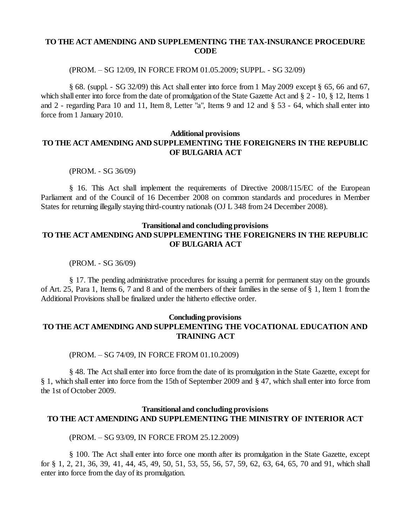## **TO THE ACT AMENDING AND SUPPLEMENTING THE TAX-INSURANCE PROCEDURE CODE**

#### (PROM. –SG 12/09, IN FORCE FROM 01.05.2009; SUPPL. - SG 32/09)

§ 68. (suppl. - SG 32/09) this Act shall enter into force from 1 May 2009 except § 65, 66 and 67, which shall enter into force from the date of promulgation of the State Gazette Act and § 2 - 10, § 12, Items 1 and 2 - regarding Para 10 and 11, Item 8, Letter "a", Items 9 and 12 and § 53 - 64, which shall enter into force from 1 January 2010.

## **Additional provisions TO THE ACT AMENDING AND SUPPLEMENTING THE FOREIGNERS IN THE REPUBLIC OF BULGARIA ACT**

(PROM. - SG 36/09)

§ 16. This Act shall implement the requirements of Directive 2008/115/EC of the European Parliament and of the Council of 16 December 2008 on common standards and procedures in Member States for returning illegally staying third-country nationals (OJ L 348 from 24 December 2008).

## **Transitional and concluding provisions TO THE ACT AMENDING AND SUPPLEMENTING THE FOREIGNERS IN THE REPUBLIC OF BULGARIA ACT**

(PROM. - SG 36/09)

§ 17. The pending administrative procedures for issuing a permit for permanent stay on the grounds of Art. 25, Para 1, Items 6, 7 and 8 and of the members of their families in the sense of § 1, Item 1 from the Additional Provisions shall be finalized under the hitherto effective order.

## **Concluding provisions TO THE ACT AMENDING AND SUPPLEMENTING THE VOCATIONAL EDUCATION AND TRAINING ACT**

(PROM. –SG 74/09, IN FORCE FROM 01.10.2009)

§ 48. The Act shall enter into force from the date of its promulgation in the State Gazette, except for § 1, which shall enter into force from the 15th of September 2009 and § 47, which shall enter into force from the 1st of October 2009.

## **Transitional and concluding provisions TO THE ACT AMENDING AND SUPPLEMENTING THE MINISTRY OF INTERIOR ACT**

(PROM. –SG 93/09, IN FORCE FROM 25.12.2009)

§ 100. The Act shall enter into force one month after its promulgation in the State Gazette, except for § 1, 2, 21, 36, 39, 41, 44, 45, 49, 50, 51, 53, 55, 56, 57, 59, 62, 63, 64, 65, 70 and 91, which shall enter into force from the day of its promulgation.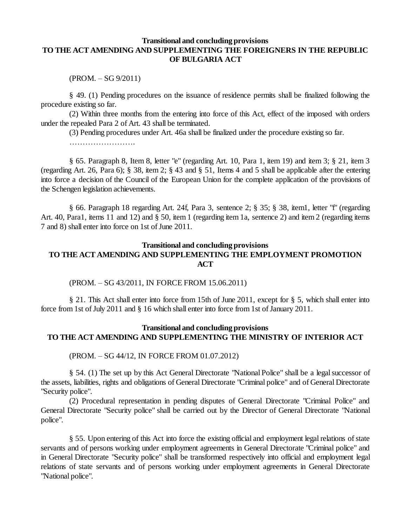### **Transitional and concluding provisions TO THE ACT AMENDING AND SUPPLEMENTING THE FOREIGNERS IN THE REPUBLIC OF BULGARIA ACT**

 $(PROM. - SG 9/2011)$ 

§ 49. (1) Pending procedures on the issuance of residence permits shall be finalized following the procedure existing so far.

(2) Within three months from the entering into force of this Act, effect of the imposed with orders under the repealed Para 2 of Art. 43 shall be terminated.

(3) Pending procedures under Art. 46a shall be finalized under the procedure existing so far.

…………………………

§ 65. Paragraph 8, Item 8, letter "e" (regarding Art. 10, Para 1, item 19) and item 3; § 21, item 3 (regarding Art. 26, Para 6); § 38, item 2; § 43 and § 51, Items 4 and 5 shall be applicable after the entering into force a decision of the Council of the European Union for the complete application of the provisions of the Schengen legislation achievements.

§ 66. Paragraph 18 regarding Art. 24f, Para 3, sentence 2; § 35; § 38, item1, letter "f" (regarding Art. 40, Para1, items 11 and 12) and § 50, item 1 (regarding item 1a, sentence 2) and item 2 (regarding items 7 and 8) shall enter into force on 1st ofJune 2011.

#### **Transitional and concluding provisions**

# **TO THE ACT AMENDING AND SUPPLEMENTING THE EMPLOYMENT PROMOTION ACT**

(PROM. –SG 43/2011, IN FORCE FROM 15.06.2011)

§ 21. This Act shall enter into force from 15th of June 2011, except for § 5, which shall enter into force from 1st of July 2011 and § 16 which shall enter into force from 1st of January 2011.

## **Transitional and concluding provisions TO THE ACT AMENDING AND SUPPLEMENTING THE MINISTRY OF INTERIOR ACT**

(PROM. –SG 44/12, IN FORCE FROM 01.07.2012)

§ 54. (1) The set up by this Act General Directorate "National Police" shall be a legal successor of the assets, liabilities, rights and obligations of General Directorate "Criminal police" and of General Directorate "Security police".

(2) Procedural representation in pending disputes of General Directorate "Criminal Police" and General Directorate "Security police" shall be carried out by the Director of General Directorate "National police".

§ 55. Upon entering of this Act into force the existing official and employment legal relations of state servants and of persons working under employment agreements in General Directorate "Criminal police" and in General Directorate "Security police" shall be transformed respectively into official and employment legal relations of state servants and of persons working under employment agreements in General Directorate "National police".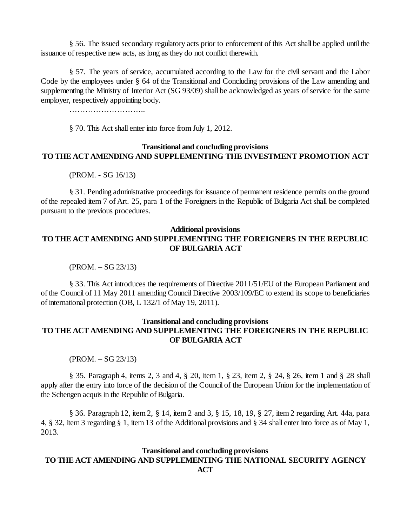§ 56. The issued secondary regulatory acts prior to enforcement of this Act shall be applied until the issuance of respective new acts, as long as they do not conflict therewith.

§ 57. The years of service, accumulated according to the Law for the civil servant and the Labor Code by the employees under § 64 of the Transitional and Concluding provisions of the Law amending and supplementing the Ministry of Interior Act (SG 93/09) shall be acknowledged as years of service for the same employer, respectively appointing body.

………………………..

§ 70. This Act shall enter into force from July 1, 2012.

## **Transitional and concluding provisions TO THE ACT AMENDING AND SUPPLEMENTING THE INVESTMENT PROMOTION ACT**

(PROM. - SG 16/13)

§ 31. Pending administrative proceedings for issuance of permanent residence permits on the ground of the repealed item 7 of Art. 25, para 1 of the Foreigners in the Republic of Bulgaria Act shall be completed pursuant to the previous procedures.

#### **Additional provisions**

# **TO THE ACT AMENDING AND SUPPLEMENTING THE FOREIGNERS IN THE REPUBLIC OF BULGARIA ACT**

 $(PROM. – SG 23/13)$ 

§ 33. This Act introduces the requirements of Directive 2011/51/EU of the European Parliament and of the Council of 11 May 2011 amending Council Directive 2003/109/EC to extend its scope to beneficiaries of international protection (OB, L 132/1 of May 19, 2011).

## **Transitional and concluding provisions TO THE ACT AMENDING AND SUPPLEMENTING THE FOREIGNERS IN THE REPUBLIC OF BULGARIA ACT**

 $(PROM. - SG 23/13)$ 

§ 35. Paragraph 4, items 2, 3 and 4, § 20, item 1, § 23, item 2, § 24, § 26, item 1 and § 28 shall apply after the entry into force of the decision of the Council of the European Union for the implementation of the Schengen acquis in the Republic of Bulgaria.

§ 36. Paragraph 12, item 2, § 14, item 2 and 3, § 15, 18, 19, § 27, item 2 regarding Art. 44а, para 4, § 32, item 3 regarding § 1, item 13 of the Additional provisions and § 34 shall enter into force as of May 1, 2013.

#### **Transitional and concluding provisions TO THE ACT AMENDING AND SUPPLEMENTING THE NATIONAL SECURITY AGENCY ACT**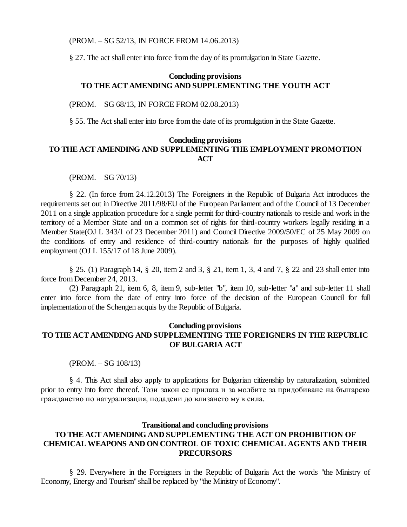#### (PROM. –SG 52/13, IN FORCE FROM 14.06.2013)

§ 27. The act shall enter into force from the day of its promulgation in State Gazette.

## **Concluding provisions TO THE ACT AMENDING AND SUPPLEMENTING THE YOUTH ACT**

#### (PROM. –SG 68/13, IN FORCE FROM 02.08.2013)

§ 55. The Act shall enter into force from the date of its promulgation in the State Gazette.

### **Concluding provisions TO THE ACT AMENDING AND SUPPLEMENTING THE EMPLOYMENT PROMOTION ACT**

 $(PROM. – SG 70/13)$ 

§ 22. (In force from 24.12.2013) The Foreigners in the Republic of Bulgaria Act introduces the requirements set out in Directive 2011/98/EU of the European Parliament and of the Council of 13 December 2011 on a single application procedure for a single permit for third-country nationals to reside and work in the territory of a Member State and on a common set of rights for third-country workers legally residing in a Member State(OJ L 343/1 of 23 December 2011) and Council Directive 2009/50/EC of 25 May 2009 on the conditions of entry and residence of third-country nationals for the purposes of highly qualified employment (OJ L 155/17 of 18 June 2009).

§ 25. (1) Paragraph 14, § 20, item 2 and 3, § 21, item 1, 3, 4 and 7, § 22 and 23 shall enter into force from December 24, 2013.

(2) Paragraph 21, item 6, 8, item 9, sub-letter "b", item 10, sub-letter "a" and sub-letter 11 shall enter into force from the date of entry into force of the decision of the European Council for full implementation of the Schengen acquis by the Republic of Bulgaria.

#### **Concluding provisions**

## **TO THE ACT AMENDING AND SUPPLEMENTING THE FOREIGNERS IN THE REPUBLIC OF BULGARIA ACT**

(PROM. - SG 108/13)

§ 4. This Act shall also apply to applications for Bulgarian citizenship by naturalization, submitted prior to entry into force thereof. Този закон се прилага и за молбите за придобиване на българско гражданство по натурализация, подадени до влизането му в сила.

## **Transitional and concluding provisions TO THE ACT AMENDING AND SUPPLEMENTING THE ACT ON PROHIBITION OF CHEMICAL WEAPONS AND ON CONTROL OF TOXIC CHEMICAL AGENTS AND THEIR PRECURSORS**

§ 29. Everywhere in the Foreigners in the Republic of Bulgaria Act the words "the Ministry of Economy, Energy and Tourism" shall be replaced by "the Ministry of Economy".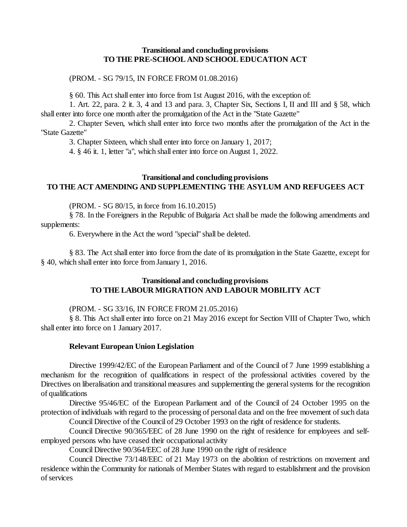#### **Transitional and concluding provisions TO THE PRE-SCHOOL AND SCHOOL EDUCATION ACT**

(PROM. - SG 79/15, IN FORCE FROM 01.08.2016)

§ 60. This Act shall enter into force from 1st August 2016, with the exception of:

1. Art. 22, para. 2 it. 3, 4 and 13 and para. 3, Chapter Six, Sections I, II and III and § 58, which shall enter into force one month after the promulgation of the Act in the "State Gazette"

2. Chapter Seven, which shall enter into force two months after the promulgation of the Act in the "State Gazette"

3. Chapter Sixteen, which shall enter into force on January 1, 2017;

4. § 46 it. 1, letter "a", which shall enter into force on August 1, 2022.

## **Transitional and concluding provisions TO THE ACT AMENDING AND SUPPLEMENTING THE ASYLUM AND REFUGEES ACT**

(PROM. - SG 80/15, in force from 16.10.2015)

§ 78. In the Foreigners in the Republic of Bulgaria Act shall be made the following amendments and supplements:

6. Everywhere in the Act the word "special" shall be deleted.

§ 83. The Act shall enter into force from the date of its promulgation in the State Gazette, except for § 40, which shall enter into force from January 1, 2016.

### **Transitional and concluding provisions TO THE LABOUR MIGRATION AND LABOUR MOBILITY ACT**

### (PROM. - SG 33/16, IN FORCE FROM 21.05.2016)

§ 8. This Act shall enter into force on 21 May 2016 except for Section VIII of Chapter Two, which shall enter into force on 1 January 2017.

#### **Relevant European Union Legislation**

Directive 1999/42/EC of the European Parliament and of the Council of 7 June 1999 establishing a mechanism for the recognition of qualifications in respect of the professional activities covered by the Directives on liberalisation and transitional measures and supplementing the general systems for the recognition of qualifications

Directive 95/46/EC of the European Parliament and of the Council of 24 October 1995 on the protection of individuals with regard to the processing of personal data and on the free movement of such data

Council Directive of the Council of 29 October 1993 on the right of residence for students.

Council Directive 90/365/EEC of 28 June 1990 on the right of residence for employees and selfemployed persons who have ceased their occupational activity

Council Directive 90/364/EEC of 28 June 1990 on the right of residence

Council Directive 73/148/EEC of 21 May 1973 on the abolition of restrictions on movement and residence within the Community for nationals of Member States with regard to establishment and the provision of services